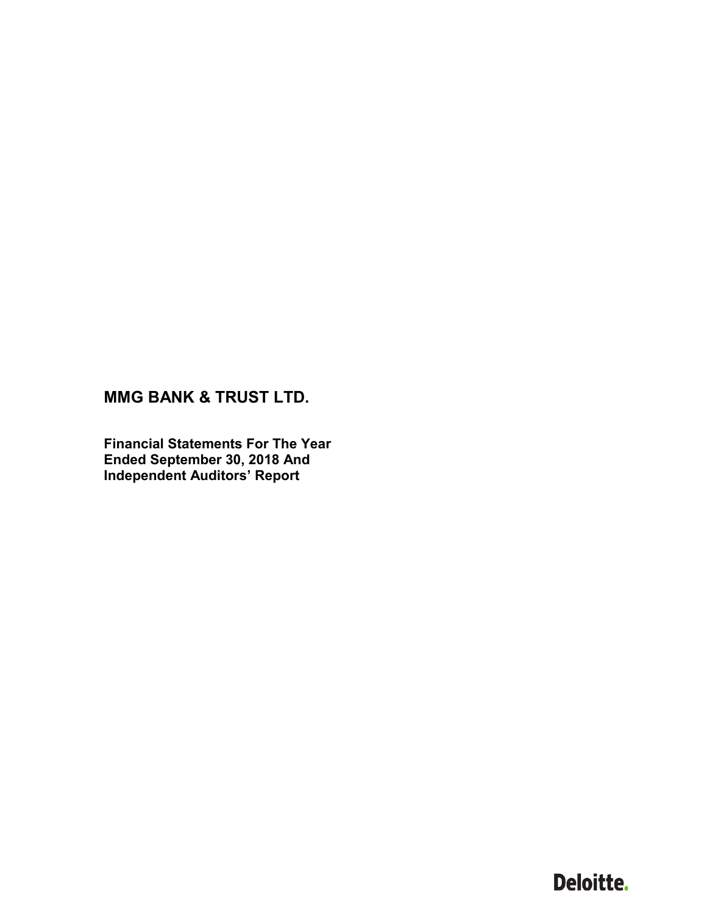**Financial Statements For The Year Ended September 30, 2018 And Independent Auditors' Report**

# Deloitte.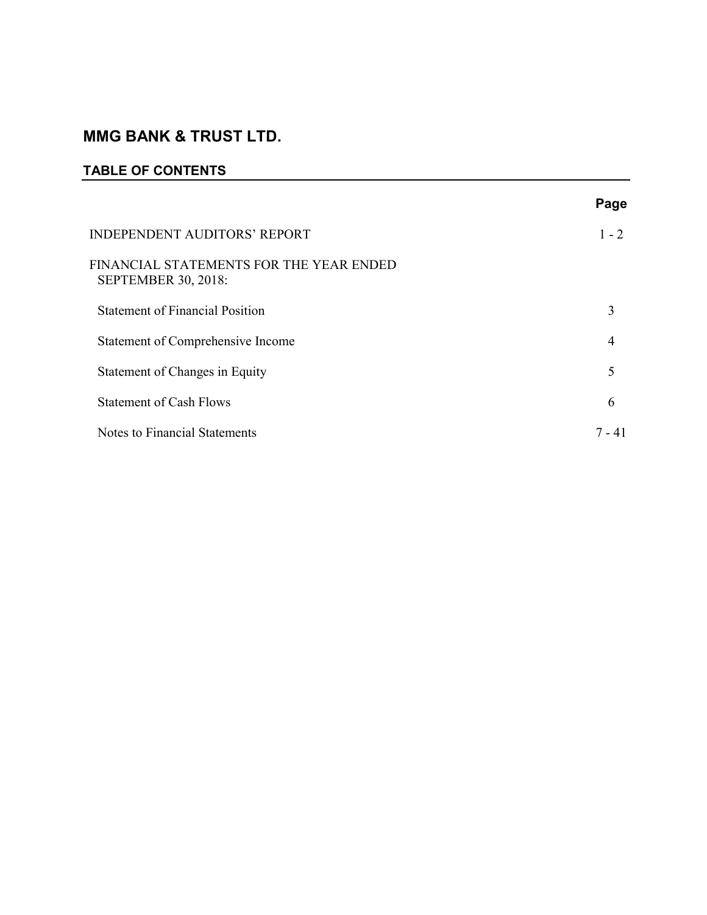### **TABLE OF CONTENTS**

|                                                                       | Page           |
|-----------------------------------------------------------------------|----------------|
| <b>INDEPENDENT AUDITORS' REPORT</b>                                   | $1 - 2$        |
| FINANCIAL STATEMENTS FOR THE YEAR ENDED<br><b>SEPTEMBER 30, 2018:</b> |                |
| <b>Statement of Financial Position</b>                                | 3              |
| Statement of Comprehensive Income                                     | $\overline{4}$ |
| Statement of Changes in Equity                                        | 5              |
| <b>Statement of Cash Flows</b>                                        | 6              |
| Notes to Financial Statements                                         | 7 - 41         |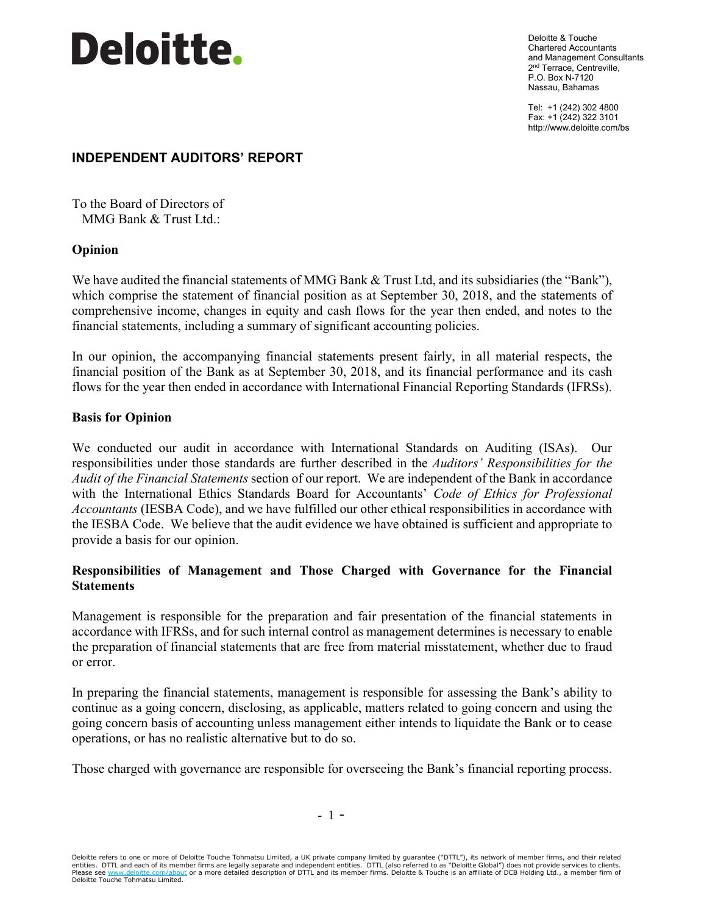

Deloitte & Touche Chartered Accountants and Management Consultants 2<sup>nd</sup> Terrace, Centreville, P.O. Box N-7120 Nassau, Bahamas

Tel: +1 (242) 302 4800 Fax: +1 (242) 322 3101 http://www.deloitte.com/bs

### **INDEPENDENT AUDITORS' REPORT**

To the Board of Directors of MMG Bank & Trust Ltd.:

### **Opinion**

We have audited the financial statements of MMG Bank & Trust Ltd, and its subsidiaries (the "Bank"), which comprise the statement of financial position as at September 30, 2018, and the statements of comprehensive income, changes in equity and cash flows for the year then ended, and notes to the financial statements, including a summary of significant accounting policies.

In our opinion, the accompanying financial statements present fairly, in all material respects, the financial position of the Bank as at September 30, 2018, and its financial performance and its cash flows for the year then ended in accordance with International Financial Reporting Standards (IFRSs).

### **Basis for Opinion**

We conducted our audit in accordance with International Standards on Auditing (ISAs). Our responsibilities under those standards are further described in the *Auditors' Responsibilities for the Audit of the Financial Statements* section of our report. We are independent of the Bank in accordance with the International Ethics Standards Board for Accountants' *Code of Ethics for Professional Accountants* (IESBA Code), and we have fulfilled our other ethical responsibilities in accordance with the IESBA Code. We believe that the audit evidence we have obtained is sufficient and appropriate to provide a basis for our opinion.

### **Responsibilities of Management and Those Charged with Governance for the Financial Statements**

Management is responsible for the preparation and fair presentation of the financial statements in accordance with IFRSs, and for such internal control as management determines is necessary to enable the preparation of financial statements that are free from material misstatement, whether due to fraud or error.

In preparing the financial statements, management is responsible for assessing the Bank's ability to continue as a going concern, disclosing, as applicable, matters related to going concern and using the going concern basis of accounting unless management either intends to liquidate the Bank or to cease operations, or has no realistic alternative but to do so.

Those charged with governance are responsible for overseeing the Bank's financial reporting process.

Deloitte refers to one or more of Deloitte Touche Tohmatsu Limited, a UK private company limited by guarantee ("DTTL"), its network of member firms, and their related entities. DTTL and each of its member firms are legally separate and independent entities. DTTL (also referred to as "Deloitte Global") does not provide services to clients. Please see [www.deloitte.com/about](http://www.deloitte.com/about) or a more detailed description of DTTL and its member firms. Deloitte & Touche is an affiliate of DCB Holding Ltd., a member firm of Deloitte Touche Tohmatsu Limited.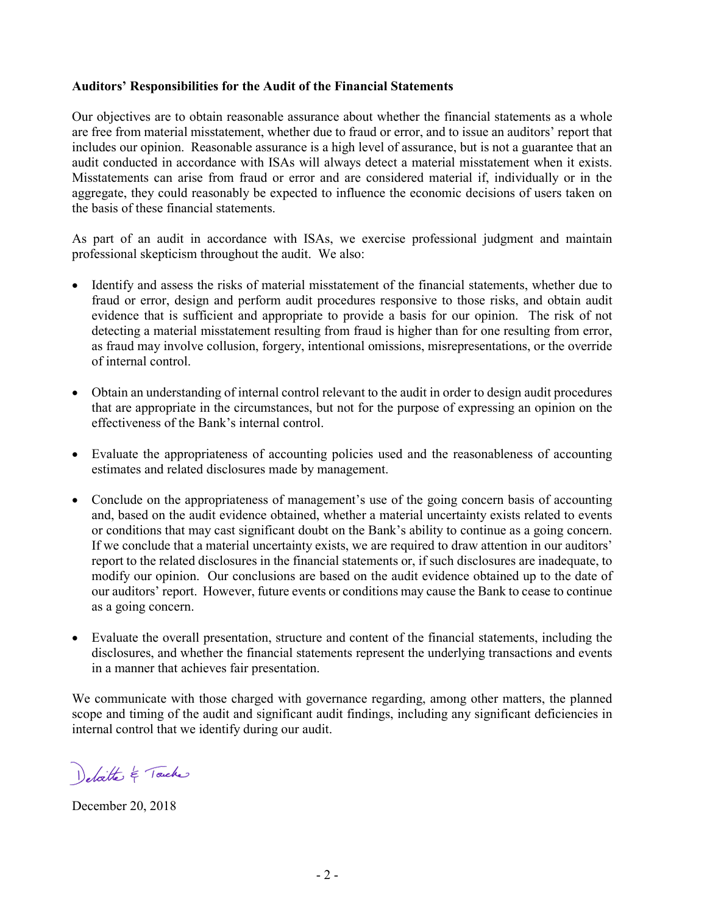### **Auditors' Responsibilities for the Audit of the Financial Statements**

Our objectives are to obtain reasonable assurance about whether the financial statements as a whole are free from material misstatement, whether due to fraud or error, and to issue an auditors' report that includes our opinion. Reasonable assurance is a high level of assurance, but is not a guarantee that an audit conducted in accordance with ISAs will always detect a material misstatement when it exists. Misstatements can arise from fraud or error and are considered material if, individually or in the aggregate, they could reasonably be expected to influence the economic decisions of users taken on the basis of these financial statements.

As part of an audit in accordance with ISAs, we exercise professional judgment and maintain professional skepticism throughout the audit. We also:

- Identify and assess the risks of material misstatement of the financial statements, whether due to fraud or error, design and perform audit procedures responsive to those risks, and obtain audit evidence that is sufficient and appropriate to provide a basis for our opinion. The risk of not detecting a material misstatement resulting from fraud is higher than for one resulting from error, as fraud may involve collusion, forgery, intentional omissions, misrepresentations, or the override of internal control.
- Obtain an understanding of internal control relevant to the audit in order to design audit procedures that are appropriate in the circumstances, but not for the purpose of expressing an opinion on the effectiveness of the Bank's internal control.
- Evaluate the appropriateness of accounting policies used and the reasonableness of accounting estimates and related disclosures made by management.
- Conclude on the appropriateness of management's use of the going concern basis of accounting and, based on the audit evidence obtained, whether a material uncertainty exists related to events or conditions that may cast significant doubt on the Bank's ability to continue as a going concern. If we conclude that a material uncertainty exists, we are required to draw attention in our auditors' report to the related disclosures in the financial statements or, if such disclosures are inadequate, to modify our opinion. Our conclusions are based on the audit evidence obtained up to the date of our auditors' report. However, future events or conditions may cause the Bank to cease to continue as a going concern.
- Evaluate the overall presentation, structure and content of the financial statements, including the disclosures, and whether the financial statements represent the underlying transactions and events in a manner that achieves fair presentation.

We communicate with those charged with governance regarding, among other matters, the planned scope and timing of the audit and significant audit findings, including any significant deficiencies in internal control that we identify during our audit.

Delatte & Touche

December 20, 2018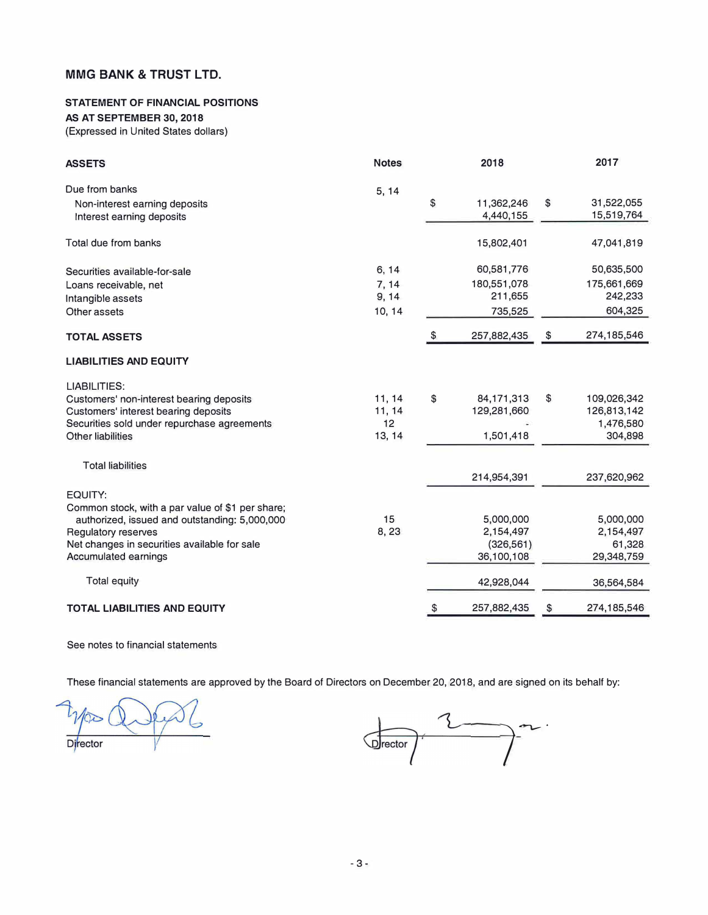#### **STATEMENT OF FINANCIAL POSITIONS**

#### **AS AT SEPTEMBER 30, 2018**

(Expressed in United States dollars)

| <b>ASSETS</b>                                                                                                                                                                                               | <b>Notes</b>                      | 2018                                               | 2017                                                     |
|-------------------------------------------------------------------------------------------------------------------------------------------------------------------------------------------------------------|-----------------------------------|----------------------------------------------------|----------------------------------------------------------|
| Due from banks<br>Non-interest earning deposits<br>Interest earning deposits                                                                                                                                | 5, 14                             | \$<br>11,362,246<br>4,440,155                      | \$<br>31,522,055<br>15,519,764                           |
| Total due from banks                                                                                                                                                                                        |                                   | 15,802,401                                         | 47,041,819                                               |
| Securities available-for-sale<br>Loans receivable, net<br>Intangible assets<br>Other assets                                                                                                                 | 6, 14<br>7, 14<br>9, 14<br>10, 14 | 60,581,776<br>180,551,078<br>211,655<br>735,525    | 50,635,500<br>175,661,669<br>242,233<br>604,325          |
| <b>TOTAL ASSETS</b>                                                                                                                                                                                         |                                   | \$<br>257,882,435                                  | \$<br>274,185,546                                        |
| <b>LIABILITIES AND EQUITY</b>                                                                                                                                                                               |                                   |                                                    |                                                          |
| LIABILITIES:<br>Customers' non-interest bearing deposits<br>Customers' interest bearing deposits<br>Securities sold under repurchase agreements<br><b>Other liabilities</b>                                 | 11, 14<br>11, 14<br>12<br>13, 14  | \$<br>84, 171, 313<br>129,281,660<br>1,501,418     | \$<br>109,026,342<br>126,813,142<br>1,476,580<br>304,898 |
| <b>Total liabilities</b>                                                                                                                                                                                    |                                   | 214,954,391                                        | 237,620,962                                              |
| EQUITY:<br>Common stock, with a par value of \$1 per share;<br>authorized, issued and outstanding: 5,000,000<br>Regulatory reserves<br>Net changes in securities available for sale<br>Accumulated earnings | 15<br>8,23                        | 5,000,000<br>2,154,497<br>(326, 561)<br>36,100,108 | 5,000,000<br>2,154,497<br>61,328<br>29,348,759           |
| Total equity                                                                                                                                                                                                |                                   | 42,928,044                                         | 36,564,584                                               |
| <b>TOTAL LIABILITIES AND EQUITY</b>                                                                                                                                                                         |                                   | \$<br>257,882,435                                  | \$<br>274,185,546                                        |

See notes to financial statements

These financial statements are approved by the Board of Directors on December 20, 2018, and are signed on its behalf by:

 $\widehat{\infty}$ Director

 $\overline{\phantom{a}}$ Drector  $\overline{\phantom{a}}$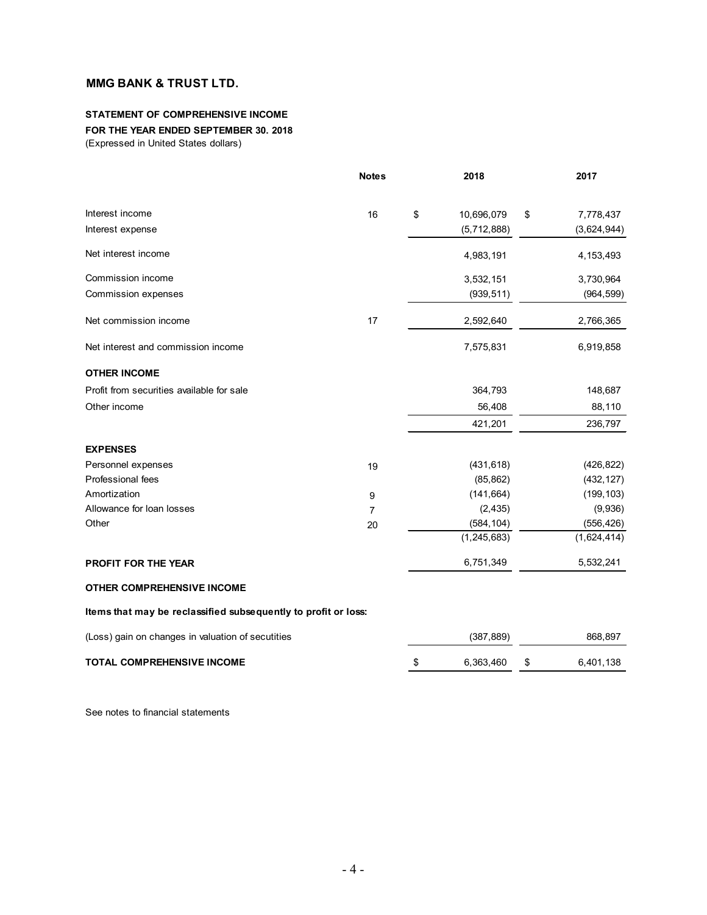#### **STATEMENT OF COMPREHENSIVE INCOME FOR THE YEAR ENDED SEPTEMBER 30. 2018**

(Expressed in United States dollars)

|                                                                | <b>Notes</b>   | 2018             | 2017            |
|----------------------------------------------------------------|----------------|------------------|-----------------|
| Interest income                                                | 16             | \$<br>10,696,079 | \$<br>7,778,437 |
| Interest expense                                               |                | (5,712,888)      | (3,624,944)     |
| Net interest income                                            |                | 4,983,191        | 4, 153, 493     |
| Commission income                                              |                | 3,532,151        | 3,730,964       |
| Commission expenses                                            |                | (939, 511)       | (964, 599)      |
| Net commission income                                          | 17             | 2,592,640        | 2,766,365       |
| Net interest and commission income                             |                | 7,575,831        | 6,919,858       |
| <b>OTHER INCOME</b>                                            |                |                  |                 |
| Profit from securities available for sale                      |                | 364,793          | 148,687         |
| Other income                                                   |                | 56,408           | 88,110          |
|                                                                |                | 421,201          | 236,797         |
| <b>EXPENSES</b>                                                |                |                  |                 |
| Personnel expenses                                             | 19             | (431, 618)       | (426, 822)      |
| Professional fees                                              |                | (85, 862)        | (432, 127)      |
| Amortization                                                   | 9              | (141, 664)       | (199, 103)      |
| Allowance for loan losses                                      | $\overline{7}$ | (2, 435)         | (9,936)         |
| Other                                                          | 20             | (584, 104)       | (556, 426)      |
|                                                                |                | (1, 245, 683)    | (1,624,414)     |
| <b>PROFIT FOR THE YEAR</b>                                     |                | 6,751,349        | 5,532,241       |
| <b>OTHER COMPREHENSIVE INCOME</b>                              |                |                  |                 |
| Items that may be reclassified subsequently to profit or loss: |                |                  |                 |
| (Loss) gain on changes in valuation of secutities              |                | (387, 889)       | 868,897         |

| <b>TOTAL COMPREHENSIVE INCOME</b> | 6.363.460 | 6.401.138 |
|-----------------------------------|-----------|-----------|
|                                   |           |           |

See notes to financial statements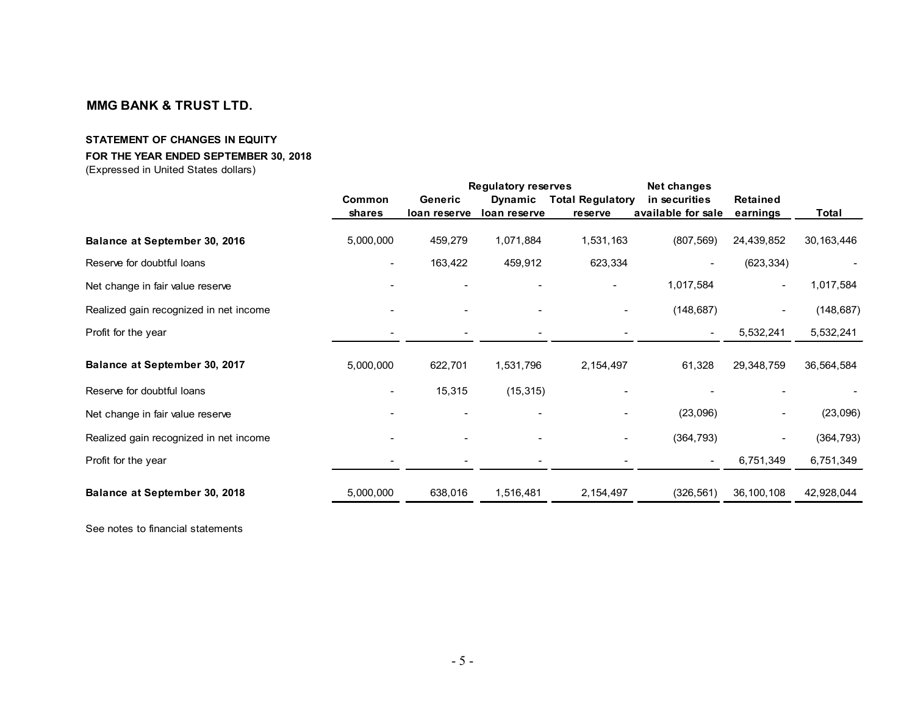### **STATEMENT OF CHANGES IN EQUITY**

#### **FOR THE YEAR ENDED SEPTEMBER 30, 2018**

(Expressed in United States dollars)

|                                        |                         | <b>Regulatory reserves</b> |                         |                                    | Net changes                         |                      |              |
|----------------------------------------|-------------------------|----------------------------|-------------------------|------------------------------------|-------------------------------------|----------------------|--------------|
|                                        | Common<br><b>shares</b> | Generic<br>loan reserve    | Dynamic<br>loan reserve | <b>Total Regulatory</b><br>reserve | in securities<br>available for sale | Retained<br>earnings | Total        |
| Balance at September 30, 2016          | 5,000,000               | 459,279                    | 1,071,884               | 1,531,163                          | (807, 569)                          | 24,439,852           | 30, 163, 446 |
| Reserve for doubtful loans             |                         | 163,422                    | 459,912                 | 623,334                            |                                     | (623, 334)           |              |
| Net change in fair value reserve       |                         |                            |                         |                                    | 1,017,584                           |                      | 1,017,584    |
| Realized gain recognized in net income |                         |                            |                         |                                    | (148, 687)                          |                      | (148, 687)   |
| Profit for the year                    |                         |                            |                         |                                    | $\blacksquare$                      | 5,532,241            | 5,532,241    |
| Balance at September 30, 2017          | 5,000,000               | 622,701                    | 1,531,796               | 2,154,497                          | 61,328                              | 29,348,759           | 36,564,584   |
| Reserve for doubtful loans             |                         | 15,315                     | (15, 315)               |                                    |                                     |                      |              |
| Net change in fair value reserve       |                         |                            |                         |                                    | (23,096)                            |                      | (23,096)     |
| Realized gain recognized in net income |                         |                            |                         |                                    | (364, 793)                          |                      | (364, 793)   |
| Profit for the year                    |                         |                            |                         |                                    | $\blacksquare$                      | 6,751,349            | 6,751,349    |
| Balance at September 30, 2018          | 5,000,000               | 638,016                    | 1,516,481               | 2,154,497                          | (326, 561)                          | 36, 100, 108         | 42,928,044   |

See notes to financial statements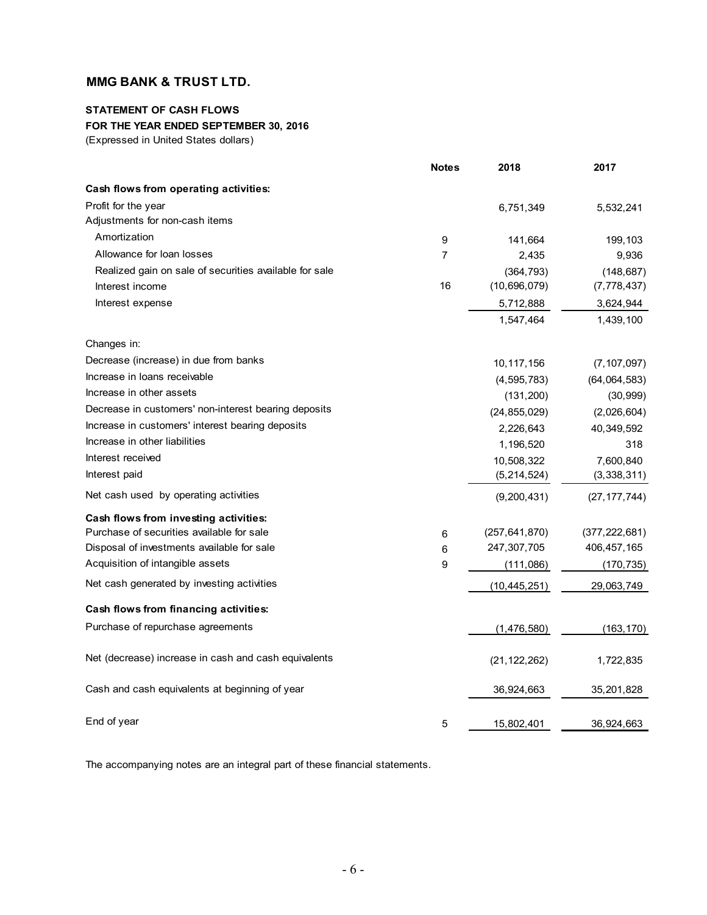### **STATEMENT OF CASH FLOWS FOR THE YEAR ENDED SEPTEMBER 30, 2016**

(Expressed in United States dollars)

|                                                        | <b>Notes</b>   | 2018            | 2017            |
|--------------------------------------------------------|----------------|-----------------|-----------------|
| Cash flows from operating activities:                  |                |                 |                 |
| Profit for the year                                    |                | 6,751,349       | 5,532,241       |
| Adjustments for non-cash items                         |                |                 |                 |
| Amortization                                           | 9              | 141,664         | 199,103         |
| Allowance for loan losses                              | $\overline{7}$ | 2,435           | 9,936           |
| Realized gain on sale of securities available for sale |                | (364, 793)      | (148, 687)      |
| Interest income                                        | 16             | (10,696,079)    | (7, 778, 437)   |
| Interest expense                                       |                | 5,712,888       | 3,624,944       |
|                                                        |                | 1,547,464       | 1,439,100       |
| Changes in:                                            |                |                 |                 |
| Decrease (increase) in due from banks                  |                | 10,117,156      | (7, 107, 097)   |
| Increase in loans receivable                           |                | (4, 595, 783)   | (64, 064, 583)  |
| Increase in other assets                               |                | (131, 200)      | (30, 999)       |
| Decrease in customers' non-interest bearing deposits   |                | (24, 855, 029)  | (2,026,604)     |
| Increase in customers' interest bearing deposits       |                | 2,226,643       | 40,349,592      |
| Increase in other liabilities                          |                | 1,196,520       | 318             |
| Interest received                                      |                | 10,508,322      | 7,600,840       |
| Interest paid                                          |                | (5, 214, 524)   | (3,338,311)     |
| Net cash used by operating activities                  |                | (9, 200, 431)   | (27, 177, 744)  |
| Cash flows from investing activities:                  |                |                 |                 |
| Purchase of securities available for sale              | 6              | (257, 641, 870) | (377, 222, 681) |
| Disposal of investments available for sale             | 6              | 247,307,705     | 406,457,165     |
| Acquisition of intangible assets                       | 9              | (111,086)       | (170, 735)      |
| Net cash generated by investing activities             |                | (10, 445, 251)  | 29,063,749      |
| Cash flows from financing activities:                  |                |                 |                 |
| Purchase of repurchase agreements                      |                | (1,476,580)     | (163, 170)      |
| Net (decrease) increase in cash and cash equivalents   |                | (21, 122, 262)  | 1,722,835       |
| Cash and cash equivalents at beginning of year         |                | 36,924,663      | 35,201,828      |
| End of year                                            | 5              | 15,802,401      | 36,924,663      |

The accompanying notes are an integral part of these financial statements.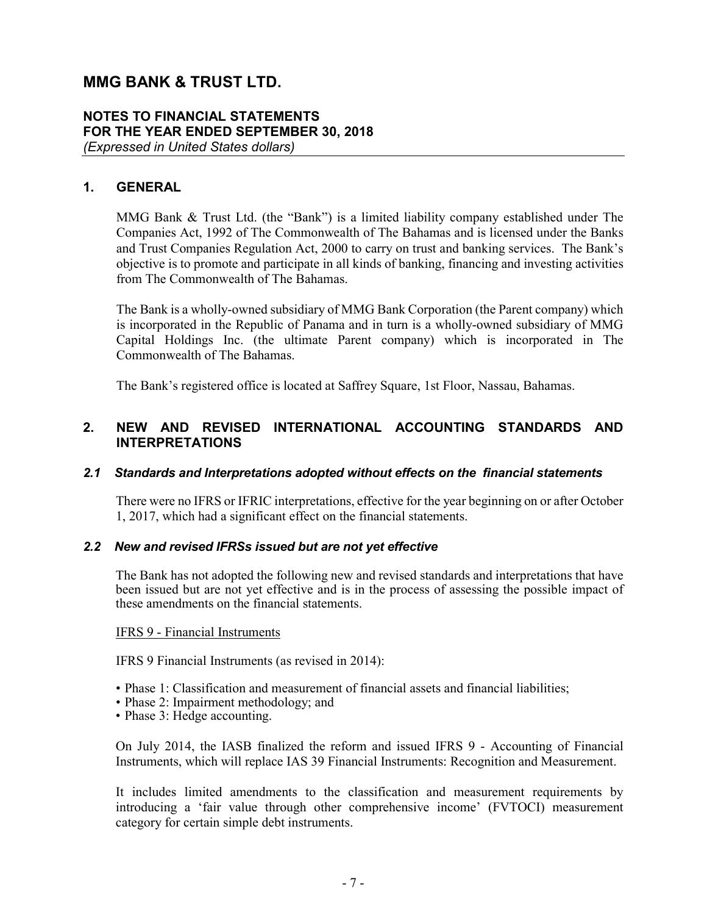### **NOTES TO FINANCIAL STATEMENTS FOR THE YEAR ENDED SEPTEMBER 30, 2018** *(Expressed in United States dollars)*

### **1. GENERAL**

MMG Bank & Trust Ltd. (the "Bank") is a limited liability company established under The Companies Act, 1992 of The Commonwealth of The Bahamas and is licensed under the Banks and Trust Companies Regulation Act, 2000 to carry on trust and banking services. The Bank's objective is to promote and participate in all kinds of banking, financing and investing activities from The Commonwealth of The Bahamas.

The Bank is a wholly-owned subsidiary of MMG Bank Corporation (the Parent company) which is incorporated in the Republic of Panama and in turn is a wholly-owned subsidiary of MMG Capital Holdings Inc. (the ultimate Parent company) which is incorporated in The Commonwealth of The Bahamas.

The Bank's registered office is located at Saffrey Square, 1st Floor, Nassau, Bahamas.

### **2. NEW AND REVISED INTERNATIONAL ACCOUNTING STANDARDS AND INTERPRETATIONS**

#### *2.1 Standards and Interpretations adopted without effects on the financial statements*

There were no IFRS or IFRIC interpretations, effective for the year beginning on or after October 1, 2017, which had a significant effect on the financial statements.

### *2.2 New and revised IFRSs issued but are not yet effective*

The Bank has not adopted the following new and revised standards and interpretations that have been issued but are not yet effective and is in the process of assessing the possible impact of these amendments on the financial statements.

#### IFRS 9 - Financial Instruments

IFRS 9 Financial Instruments (as revised in 2014):

- Phase 1: Classification and measurement of financial assets and financial liabilities;
- Phase 2: Impairment methodology; and
- Phase 3: Hedge accounting.

On July 2014, the IASB finalized the reform and issued IFRS 9 - Accounting of Financial Instruments, which will replace IAS 39 Financial Instruments: Recognition and Measurement.

It includes limited amendments to the classification and measurement requirements by introducing a 'fair value through other comprehensive income' (FVTOCI) measurement category for certain simple debt instruments.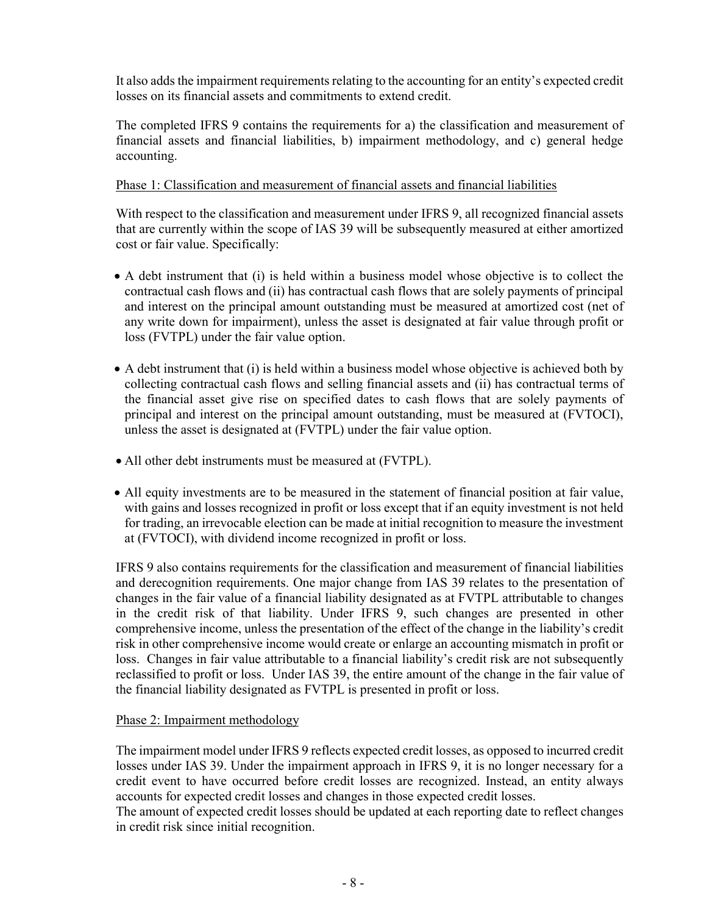It also adds the impairment requirements relating to the accounting for an entity's expected credit losses on its financial assets and commitments to extend credit.

The completed IFRS 9 contains the requirements for a) the classification and measurement of financial assets and financial liabilities, b) impairment methodology, and c) general hedge accounting.

### Phase 1: Classification and measurement of financial assets and financial liabilities

With respect to the classification and measurement under IFRS 9, all recognized financial assets that are currently within the scope of IAS 39 will be subsequently measured at either amortized cost or fair value. Specifically:

- A debt instrument that (i) is held within a business model whose objective is to collect the contractual cash flows and (ii) has contractual cash flows that are solely payments of principal and interest on the principal amount outstanding must be measured at amortized cost (net of any write down for impairment), unless the asset is designated at fair value through profit or loss (FVTPL) under the fair value option.
- A debt instrument that (i) is held within a business model whose objective is achieved both by collecting contractual cash flows and selling financial assets and (ii) has contractual terms of the financial asset give rise on specified dates to cash flows that are solely payments of principal and interest on the principal amount outstanding, must be measured at (FVTOCI), unless the asset is designated at (FVTPL) under the fair value option.
- All other debt instruments must be measured at (FVTPL).
- All equity investments are to be measured in the statement of financial position at fair value, with gains and losses recognized in profit or loss except that if an equity investment is not held for trading, an irrevocable election can be made at initial recognition to measure the investment at (FVTOCI), with dividend income recognized in profit or loss.

IFRS 9 also contains requirements for the classification and measurement of financial liabilities and derecognition requirements. One major change from IAS 39 relates to the presentation of changes in the fair value of a financial liability designated as at FVTPL attributable to changes in the credit risk of that liability. Under IFRS 9, such changes are presented in other comprehensive income, unless the presentation of the effect of the change in the liability's credit risk in other comprehensive income would create or enlarge an accounting mismatch in profit or loss. Changes in fair value attributable to a financial liability's credit risk are not subsequently reclassified to profit or loss. Under IAS 39, the entire amount of the change in the fair value of the financial liability designated as FVTPL is presented in profit or loss.

### Phase 2: Impairment methodology

The impairment model under IFRS 9 reflects expected credit losses, as opposed to incurred credit losses under IAS 39. Under the impairment approach in IFRS 9, it is no longer necessary for a credit event to have occurred before credit losses are recognized. Instead, an entity always accounts for expected credit losses and changes in those expected credit losses.

The amount of expected credit losses should be updated at each reporting date to reflect changes in credit risk since initial recognition.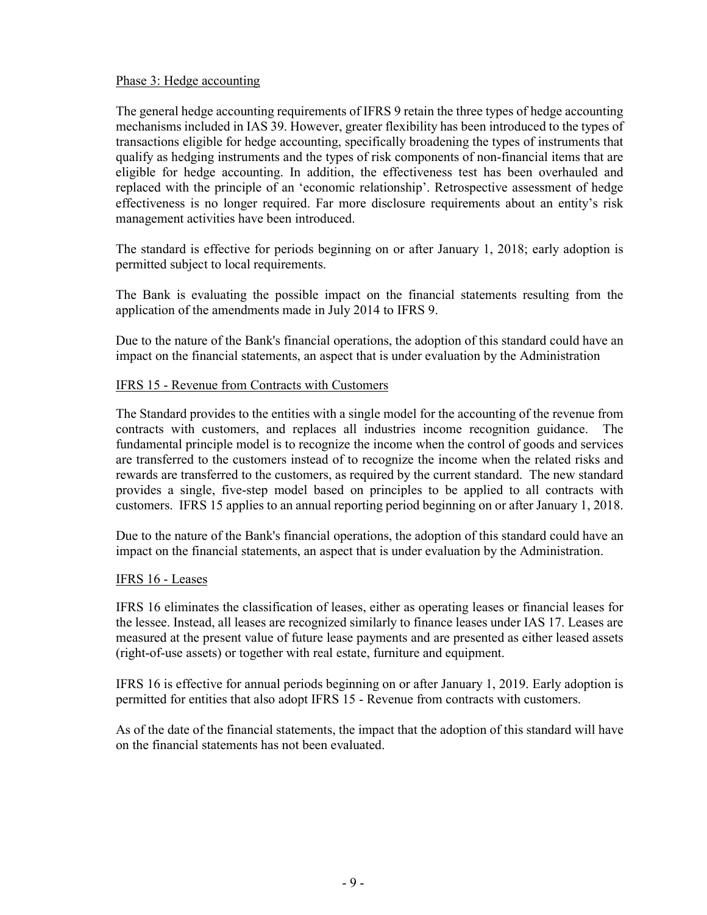### Phase 3: Hedge accounting

The general hedge accounting requirements of IFRS 9 retain the three types of hedge accounting mechanisms included in IAS 39. However, greater flexibility has been introduced to the types of transactions eligible for hedge accounting, specifically broadening the types of instruments that qualify as hedging instruments and the types of risk components of non-financial items that are eligible for hedge accounting. In addition, the effectiveness test has been overhauled and replaced with the principle of an 'economic relationship'. Retrospective assessment of hedge effectiveness is no longer required. Far more disclosure requirements about an entity's risk management activities have been introduced.

The standard is effective for periods beginning on or after January 1, 2018; early adoption is permitted subject to local requirements.

The Bank is evaluating the possible impact on the financial statements resulting from the application of the amendments made in July 2014 to IFRS 9.

Due to the nature of the Bank's financial operations, the adoption of this standard could have an impact on the financial statements, an aspect that is under evaluation by the Administration

### IFRS 15 - Revenue from Contracts with Customers

The Standard provides to the entities with a single model for the accounting of the revenue from contracts with customers, and replaces all industries income recognition guidance. The fundamental principle model is to recognize the income when the control of goods and services are transferred to the customers instead of to recognize the income when the related risks and rewards are transferred to the customers, as required by the current standard. The new standard provides a single, five-step model based on principles to be applied to all contracts with customers. IFRS 15 applies to an annual reporting period beginning on or after January 1, 2018.

Due to the nature of the Bank's financial operations, the adoption of this standard could have an impact on the financial statements, an aspect that is under evaluation by the Administration.

#### IFRS 16 - Leases

IFRS 16 eliminates the classification of leases, either as operating leases or financial leases for the lessee. Instead, all leases are recognized similarly to finance leases under IAS 17. Leases are measured at the present value of future lease payments and are presented as either leased assets (right-of-use assets) or together with real estate, furniture and equipment.

IFRS 16 is effective for annual periods beginning on or after January 1, 2019. Early adoption is permitted for entities that also adopt IFRS 15 - Revenue from contracts with customers.

As of the date of the financial statements, the impact that the adoption of this standard will have on the financial statements has not been evaluated.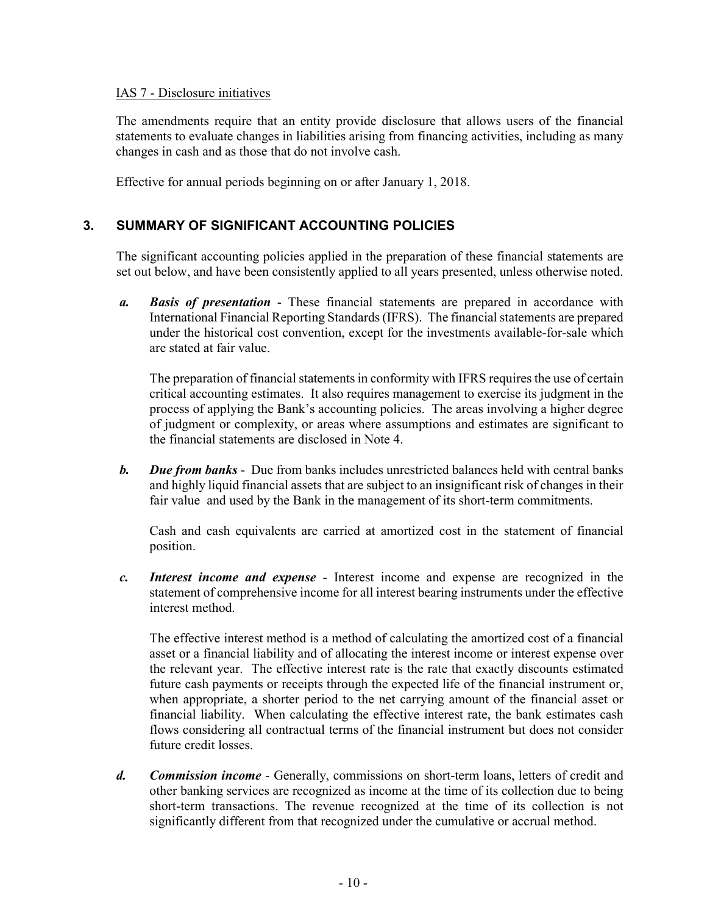### IAS 7 - Disclosure initiatives

The amendments require that an entity provide disclosure that allows users of the financial statements to evaluate changes in liabilities arising from financing activities, including as many changes in cash and as those that do not involve cash.

Effective for annual periods beginning on or after January 1, 2018.

### **3. SUMMARY OF SIGNIFICANT ACCOUNTING POLICIES**

The significant accounting policies applied in the preparation of these financial statements are set out below, and have been consistently applied to all years presented, unless otherwise noted.

*a. Basis of presentation* - These financial statements are prepared in accordance with International Financial Reporting Standards (IFRS). The financial statements are prepared under the historical cost convention, except for the investments available-for-sale which are stated at fair value.

The preparation of financial statements in conformity with IFRS requires the use of certain critical accounting estimates. It also requires management to exercise its judgment in the process of applying the Bank's accounting policies. The areas involving a higher degree of judgment or complexity, or areas where assumptions and estimates are significant to the financial statements are disclosed in Note 4.

*b. Due from banks* - Due from banks includes unrestricted balances held with central banks and highly liquid financial assets that are subject to an insignificant risk of changes in their fair value and used by the Bank in the management of its short-term commitments.

Cash and cash equivalents are carried at amortized cost in the statement of financial position.

*c. Interest income and expense* - Interest income and expense are recognized in the statement of comprehensive income for all interest bearing instruments under the effective interest method.

The effective interest method is a method of calculating the amortized cost of a financial asset or a financial liability and of allocating the interest income or interest expense over the relevant year. The effective interest rate is the rate that exactly discounts estimated future cash payments or receipts through the expected life of the financial instrument or, when appropriate, a shorter period to the net carrying amount of the financial asset or financial liability. When calculating the effective interest rate, the bank estimates cash flows considering all contractual terms of the financial instrument but does not consider future credit losses.

*d. Commission income* - Generally, commissions on short-term loans, letters of credit and other banking services are recognized as income at the time of its collection due to being short-term transactions. The revenue recognized at the time of its collection is not significantly different from that recognized under the cumulative or accrual method.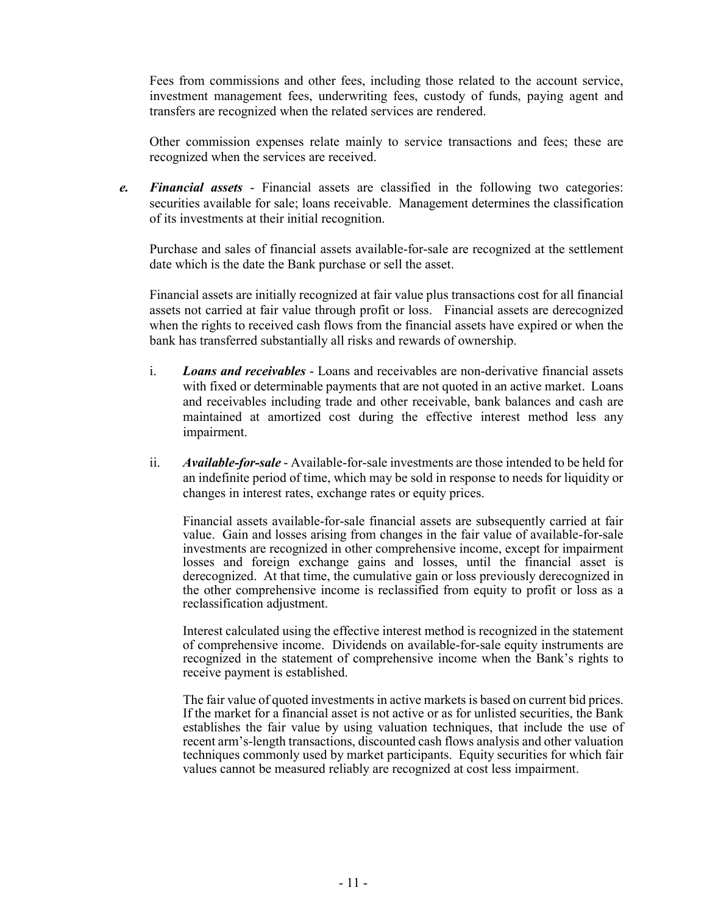Fees from commissions and other fees, including those related to the account service, investment management fees, underwriting fees, custody of funds, paying agent and transfers are recognized when the related services are rendered.

Other commission expenses relate mainly to service transactions and fees; these are recognized when the services are received.

*e. Financial assets* - Financial assets are classified in the following two categories: securities available for sale; loans receivable. Management determines the classification of its investments at their initial recognition.

Purchase and sales of financial assets available-for-sale are recognized at the settlement date which is the date the Bank purchase or sell the asset.

Financial assets are initially recognized at fair value plus transactions cost for all financial assets not carried at fair value through profit or loss. Financial assets are derecognized when the rights to received cash flows from the financial assets have expired or when the bank has transferred substantially all risks and rewards of ownership.

- i. *Loans and receivables* Loans and receivables are non-derivative financial assets with fixed or determinable payments that are not quoted in an active market. Loans and receivables including trade and other receivable, bank balances and cash are maintained at amortized cost during the effective interest method less any impairment.
- ii. *Available-for-sale* Available-for-sale investments are those intended to be held for an indefinite period of time, which may be sold in response to needs for liquidity or changes in interest rates, exchange rates or equity prices.

Financial assets available-for-sale financial assets are subsequently carried at fair value. Gain and losses arising from changes in the fair value of available-for-sale investments are recognized in other comprehensive income, except for impairment losses and foreign exchange gains and losses, until the financial asset is derecognized. At that time, the cumulative gain or loss previously derecognized in the other comprehensive income is reclassified from equity to profit or loss as a reclassification adjustment.

Interest calculated using the effective interest method is recognized in the statement of comprehensive income. Dividends on available-for-sale equity instruments are recognized in the statement of comprehensive income when the Bank's rights to receive payment is established.

The fair value of quoted investments in active markets is based on current bid prices. If the market for a financial asset is not active or as for unlisted securities, the Bank establishes the fair value by using valuation techniques, that include the use of recent arm's-length transactions, discounted cash flows analysis and other valuation techniques commonly used by market participants. Equity securities for which fair values cannot be measured reliably are recognized at cost less impairment.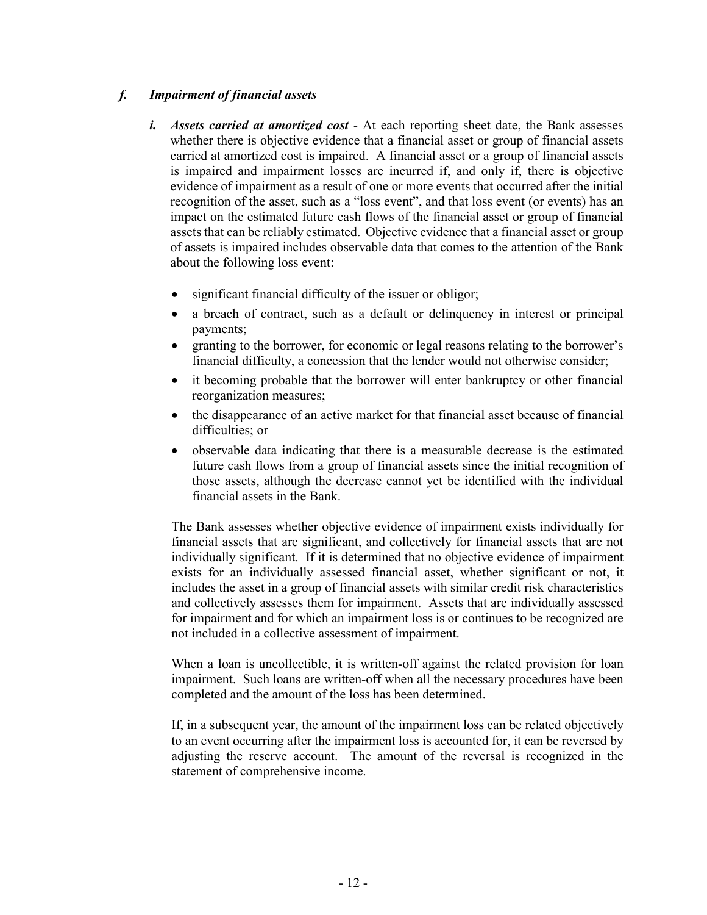### *f. Impairment of financial assets*

- *i. Assets carried at amortized cost* At each reporting sheet date, the Bank assesses whether there is objective evidence that a financial asset or group of financial assets carried at amortized cost is impaired. A financial asset or a group of financial assets is impaired and impairment losses are incurred if, and only if, there is objective evidence of impairment as a result of one or more events that occurred after the initial recognition of the asset, such as a "loss event", and that loss event (or events) has an impact on the estimated future cash flows of the financial asset or group of financial assets that can be reliably estimated. Objective evidence that a financial asset or group of assets is impaired includes observable data that comes to the attention of the Bank about the following loss event:
	- significant financial difficulty of the issuer or obligor;
	- a breach of contract, such as a default or delinquency in interest or principal payments;
	- granting to the borrower, for economic or legal reasons relating to the borrower's financial difficulty, a concession that the lender would not otherwise consider;
	- it becoming probable that the borrower will enter bankruptcy or other financial reorganization measures;
	- the disappearance of an active market for that financial asset because of financial difficulties; or
	- observable data indicating that there is a measurable decrease is the estimated future cash flows from a group of financial assets since the initial recognition of those assets, although the decrease cannot yet be identified with the individual financial assets in the Bank.

The Bank assesses whether objective evidence of impairment exists individually for financial assets that are significant, and collectively for financial assets that are not individually significant. If it is determined that no objective evidence of impairment exists for an individually assessed financial asset, whether significant or not, it includes the asset in a group of financial assets with similar credit risk characteristics and collectively assesses them for impairment. Assets that are individually assessed for impairment and for which an impairment loss is or continues to be recognized are not included in a collective assessment of impairment.

When a loan is uncollectible, it is written-off against the related provision for loan impairment. Such loans are written-off when all the necessary procedures have been completed and the amount of the loss has been determined.

If, in a subsequent year, the amount of the impairment loss can be related objectively to an event occurring after the impairment loss is accounted for, it can be reversed by adjusting the reserve account. The amount of the reversal is recognized in the statement of comprehensive income.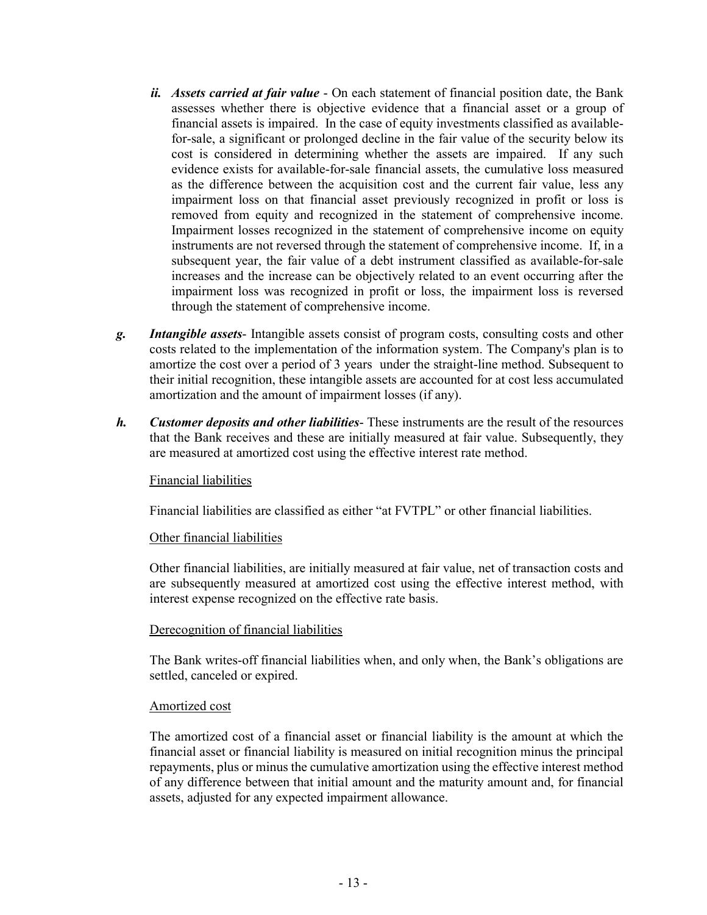- *ii. Assets carried at fair value* On each statement of financial position date, the Bank assesses whether there is objective evidence that a financial asset or a group of financial assets is impaired. In the case of equity investments classified as availablefor-sale, a significant or prolonged decline in the fair value of the security below its cost is considered in determining whether the assets are impaired. If any such evidence exists for available-for-sale financial assets, the cumulative loss measured as the difference between the acquisition cost and the current fair value, less any impairment loss on that financial asset previously recognized in profit or loss is removed from equity and recognized in the statement of comprehensive income. Impairment losses recognized in the statement of comprehensive income on equity instruments are not reversed through the statement of comprehensive income. If, in a subsequent year, the fair value of a debt instrument classified as available-for-sale increases and the increase can be objectively related to an event occurring after the impairment loss was recognized in profit or loss, the impairment loss is reversed through the statement of comprehensive income.
- *g. Intangible assets* Intangible assets consist of program costs, consulting costs and other costs related to the implementation of the information system. The Company's plan is to amortize the cost over a period of 3 years under the straight-line method. Subsequent to their initial recognition, these intangible assets are accounted for at cost less accumulated amortization and the amount of impairment losses (if any).
- *h. Customer deposits and other liabilities* These instruments are the result of the resources that the Bank receives and these are initially measured at fair value. Subsequently, they are measured at amortized cost using the effective interest rate method.

#### Financial liabilities

Financial liabilities are classified as either "at FVTPL" or other financial liabilities.

#### Other financial liabilities

Other financial liabilities, are initially measured at fair value, net of transaction costs and are subsequently measured at amortized cost using the effective interest method, with interest expense recognized on the effective rate basis.

#### Derecognition of financial liabilities

The Bank writes-off financial liabilities when, and only when, the Bank's obligations are settled, canceled or expired.

#### Amortized cost

The amortized cost of a financial asset or financial liability is the amount at which the financial asset or financial liability is measured on initial recognition minus the principal repayments, plus or minus the cumulative amortization using the effective interest method of any difference between that initial amount and the maturity amount and, for financial assets, adjusted for any expected impairment allowance.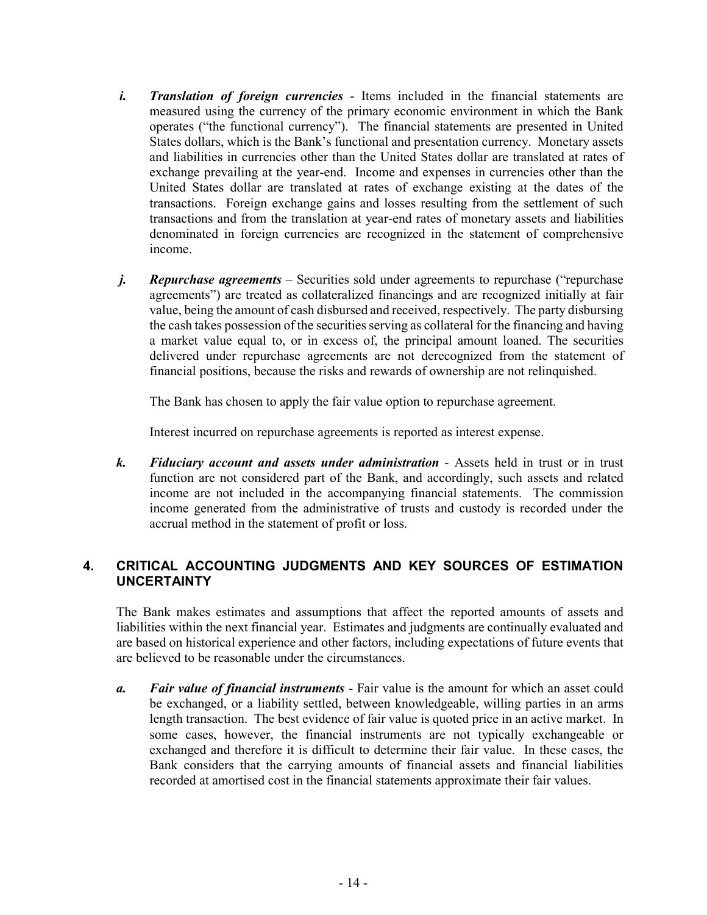- *i. Translation of foreign currencies* Items included in the financial statements are measured using the currency of the primary economic environment in which the Bank operates ("the functional currency"). The financial statements are presented in United States dollars, which is the Bank's functional and presentation currency. Monetary assets and liabilities in currencies other than the United States dollar are translated at rates of exchange prevailing at the year-end. Income and expenses in currencies other than the United States dollar are translated at rates of exchange existing at the dates of the transactions. Foreign exchange gains and losses resulting from the settlement of such transactions and from the translation at year-end rates of monetary assets and liabilities denominated in foreign currencies are recognized in the statement of comprehensive income.
- *j.* **Repurchase agreements** Securities sold under agreements to repurchase ("repurchase") agreements") are treated as collateralized financings and are recognized initially at fair value, being the amount of cash disbursed and received, respectively. The party disbursing the cash takes possession of the securities serving as collateral for the financing and having a market value equal to, or in excess of, the principal amount loaned. The securities delivered under repurchase agreements are not derecognized from the statement of financial positions, because the risks and rewards of ownership are not relinquished.

The Bank has chosen to apply the fair value option to repurchase agreement.

Interest incurred on repurchase agreements is reported as interest expense.

*k. Fiduciary account and assets under administration* - Assets held in trust or in trust function are not considered part of the Bank, and accordingly, such assets and related income are not included in the accompanying financial statements. The commission income generated from the administrative of trusts and custody is recorded under the accrual method in the statement of profit or loss.

### **4. CRITICAL ACCOUNTING JUDGMENTS AND KEY SOURCES OF ESTIMATION UNCERTAINTY**

The Bank makes estimates and assumptions that affect the reported amounts of assets and liabilities within the next financial year. Estimates and judgments are continually evaluated and are based on historical experience and other factors, including expectations of future events that are believed to be reasonable under the circumstances.

*a. Fair value of financial instruments* - Fair value is the amount for which an asset could be exchanged, or a liability settled, between knowledgeable, willing parties in an arms length transaction. The best evidence of fair value is quoted price in an active market. In some cases, however, the financial instruments are not typically exchangeable or exchanged and therefore it is difficult to determine their fair value. In these cases, the Bank considers that the carrying amounts of financial assets and financial liabilities recorded at amortised cost in the financial statements approximate their fair values.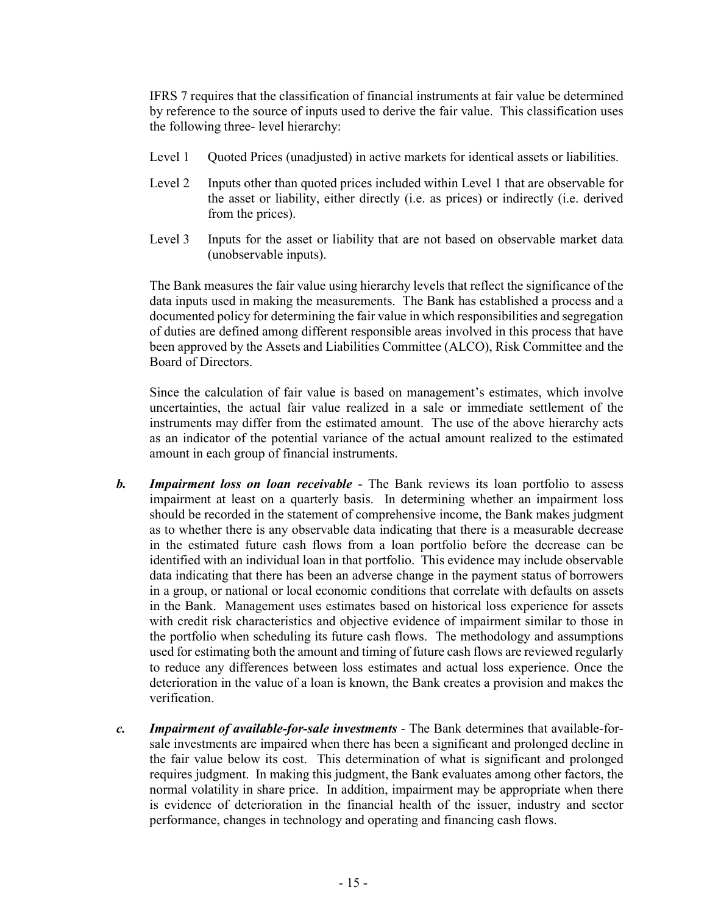IFRS 7 requires that the classification of financial instruments at fair value be determined by reference to the source of inputs used to derive the fair value. This classification uses the following three- level hierarchy:

- Level 1 Quoted Prices (unadjusted) in active markets for identical assets or liabilities.
- Level 2 Inputs other than quoted prices included within Level 1 that are observable for the asset or liability, either directly (i.e. as prices) or indirectly (i.e. derived from the prices).
- Level 3 Inputs for the asset or liability that are not based on observable market data (unobservable inputs).

The Bank measures the fair value using hierarchy levels that reflect the significance of the data inputs used in making the measurements. The Bank has established a process and a documented policy for determining the fair value in which responsibilities and segregation of duties are defined among different responsible areas involved in this process that have been approved by the Assets and Liabilities Committee (ALCO), Risk Committee and the Board of Directors.

Since the calculation of fair value is based on management's estimates, which involve uncertainties, the actual fair value realized in a sale or immediate settlement of the instruments may differ from the estimated amount. The use of the above hierarchy acts as an indicator of the potential variance of the actual amount realized to the estimated amount in each group of financial instruments.

- *b. Impairment loss on loan receivable* The Bank reviews its loan portfolio to assess impairment at least on a quarterly basis. In determining whether an impairment loss should be recorded in the statement of comprehensive income, the Bank makes judgment as to whether there is any observable data indicating that there is a measurable decrease in the estimated future cash flows from a loan portfolio before the decrease can be identified with an individual loan in that portfolio. This evidence may include observable data indicating that there has been an adverse change in the payment status of borrowers in a group, or national or local economic conditions that correlate with defaults on assets in the Bank. Management uses estimates based on historical loss experience for assets with credit risk characteristics and objective evidence of impairment similar to those in the portfolio when scheduling its future cash flows. The methodology and assumptions used for estimating both the amount and timing of future cash flows are reviewed regularly to reduce any differences between loss estimates and actual loss experience. Once the deterioration in the value of a loan is known, the Bank creates a provision and makes the verification.
- *c. Impairment of available-for-sale investments*  The Bank determines that available-forsale investments are impaired when there has been a significant and prolonged decline in the fair value below its cost. This determination of what is significant and prolonged requires judgment. In making this judgment, the Bank evaluates among other factors, the normal volatility in share price. In addition, impairment may be appropriate when there is evidence of deterioration in the financial health of the issuer, industry and sector performance, changes in technology and operating and financing cash flows.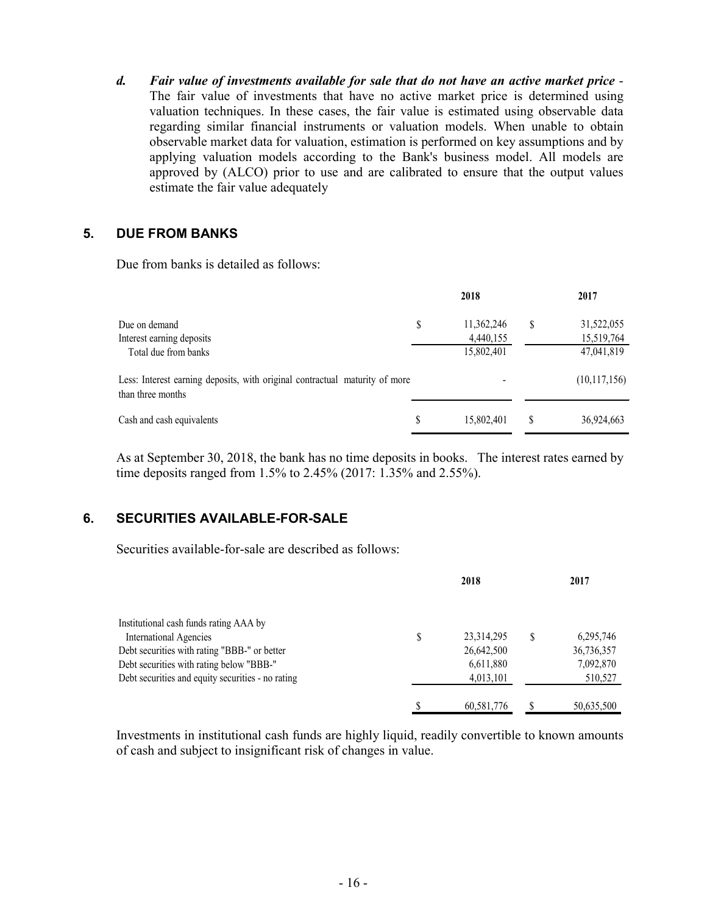*d. Fair value of investments available for sale that do not have an active market price* - The fair value of investments that have no active market price is determined using valuation techniques. In these cases, the fair value is estimated using observable data regarding similar financial instruments or valuation models. When unable to obtain observable market data for valuation, estimation is performed on key assumptions and by applying valuation models according to the Bank's business model. All models are approved by (ALCO) prior to use and are calibrated to ensure that the output values estimate the fair value adequately

### **5. DUE FROM BANKS**

Due from banks is detailed as follows:

|                                                                                                  |    | 2018                    |    | 2017                     |
|--------------------------------------------------------------------------------------------------|----|-------------------------|----|--------------------------|
| Due on demand<br>Interest earning deposits                                                       | \$ | 11,362,246<br>4,440,155 | \$ | 31,522,055<br>15,519,764 |
| Total due from banks                                                                             |    | 15,802,401              |    | 47,041,819               |
| Less: Interest earning deposits, with original contractual maturity of more<br>than three months |    |                         |    | (10,117,156)             |
| Cash and cash equivalents                                                                        | S  | 15,802,401              | S  | 36,924,663               |

As at September 30, 2018, the bank has no time deposits in books. The interest rates earned by time deposits ranged from 1.5% to 2.45% (2017: 1.35% and 2.55%).

### **6. SECURITIES AVAILABLE-FOR-SALE**

Securities available-for-sale are described as follows:

|                                                   | 2018 |            |   | 2017       |  |
|---------------------------------------------------|------|------------|---|------------|--|
| Institutional cash funds rating AAA by            |      |            |   |            |  |
| <b>International Agencies</b>                     | S    | 23,314,295 | S | 6,295,746  |  |
| Debt securities with rating "BBB-" or better      |      | 26,642,500 |   | 36,736,357 |  |
| Debt securities with rating below "BBB-"          |      | 6,611,880  |   | 7,092,870  |  |
| Debt securities and equity securities - no rating |      | 4,013,101  |   | 510,527    |  |
|                                                   |      | 60,581,776 |   | 50,635,500 |  |

Investments in institutional cash funds are highly liquid, readily convertible to known amounts of cash and subject to insignificant risk of changes in value.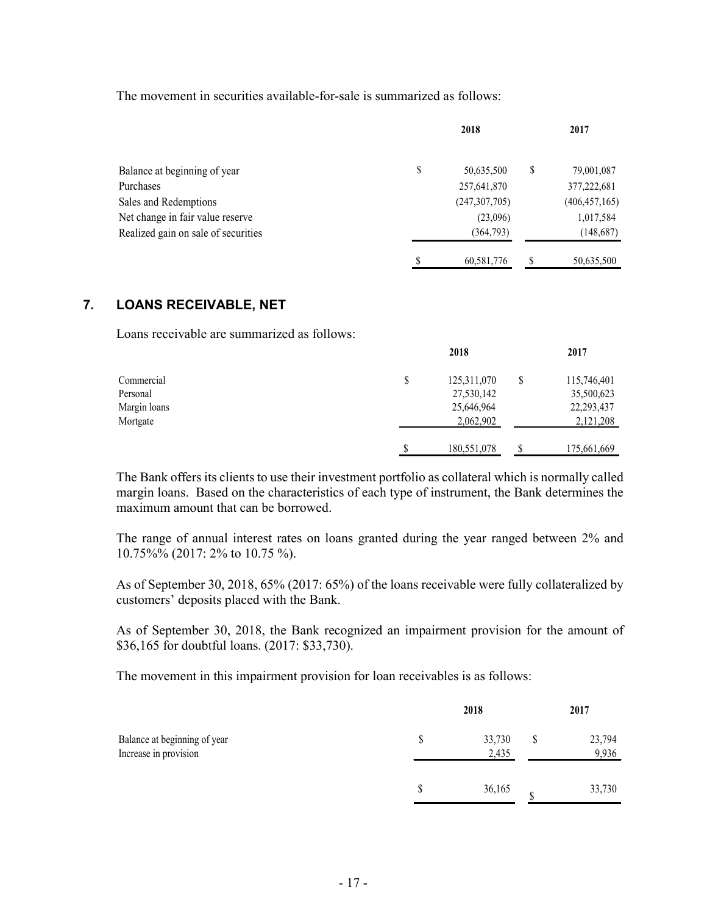The movement in securities available-for-sale is summarized as follows:

|                                     | 2018             | 2017             |
|-------------------------------------|------------------|------------------|
| Balance at beginning of year        | \$<br>50,635,500 | \$<br>79,001,087 |
| Purchases                           | 257,641,870      | 377,222,681      |
| Sales and Redemptions               | (247, 307, 705)  | (406, 457, 165)  |
| Net change in fair value reserve    | (23,096)         | 1,017,584        |
| Realized gain on sale of securities | (364,793)        | (148, 687)       |
|                                     | 60,581,776       | 50,635,500       |

### **7. LOANS RECEIVABLE, NET**

Loans receivable are summarized as follows:

|              |   | 2018        |    | 2017         |
|--------------|---|-------------|----|--------------|
| Commercial   | S | 125,311,070 | \$ | 115,746,401  |
| Personal     |   | 27,530,142  |    | 35,500,623   |
| Margin loans |   | 25,646,964  |    | 22, 293, 437 |
| Mortgate     |   | 2,062,902   |    | 2,121,208    |
|              |   | 180,551,078 | S  | 175,661,669  |

The Bank offers its clients to use their investment portfolio as collateral which is normally called margin loans. Based on the characteristics of each type of instrument, the Bank determines the maximum amount that can be borrowed.

The range of annual interest rates on loans granted during the year ranged between 2% and 10.75%% (2017: 2% to 10.75 %).

As of September 30, 2018, 65% (2017: 65%) of the loans receivable were fully collateralized by customers' deposits placed with the Bank.

As of September 30, 2018, the Bank recognized an impairment provision for the amount of \$36,165 for doubtful loans. (2017: \$33,730).

The movement in this impairment provision for loan receivables is as follows:

|                                                       | 2018            |   | 2017            |
|-------------------------------------------------------|-----------------|---|-----------------|
| Balance at beginning of year<br>Increase in provision | 33,730<br>2,435 | S | 23,794<br>9,936 |
|                                                       | 36,165          | ¢ | 33,730          |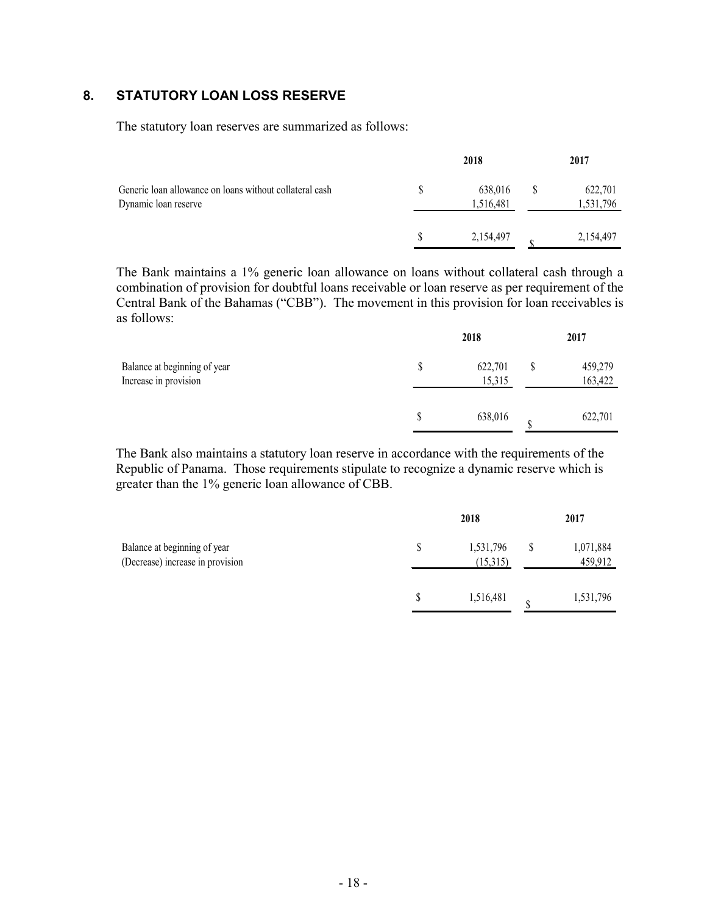### **8. STATUTORY LOAN LOSS RESERVE**

The statutory loan reserves are summarized as follows:

|                                                                                 | 2018                 | 2017                 |
|---------------------------------------------------------------------------------|----------------------|----------------------|
| Generic loan allowance on loans without collateral cash<br>Dynamic loan reserve | 638,016<br>1,516,481 | 622,701<br>1,531,796 |
|                                                                                 | 2,154,497            | 2,154,497            |

The Bank maintains a 1% generic loan allowance on loans without collateral cash through a combination of provision for doubtful loans receivable or loan reserve as per requirement of the Central Bank of the Bahamas ("CBB"). The movement in this provision for loan receivables is as follows:

| Balance at beginning of year<br>Increase in provision | 2018              |  |                    |  |  |
|-------------------------------------------------------|-------------------|--|--------------------|--|--|
|                                                       | 622,701<br>15,315 |  | 459,279<br>163,422 |  |  |
|                                                       | 638,016           |  | 622,701            |  |  |

The Bank also maintains a statutory loan reserve in accordance with the requirements of the Republic of Panama. Those requirements stipulate to recognize a dynamic reserve which is greater than the 1% generic loan allowance of CBB.

|                                                                  | 2018 |                       |  | 2017                 |  |  |
|------------------------------------------------------------------|------|-----------------------|--|----------------------|--|--|
| Balance at beginning of year<br>(Decrease) increase in provision |      | 1,531,796<br>(15,315) |  | 1,071,884<br>459,912 |  |  |
|                                                                  |      | 1,516,481             |  | 1,531,796            |  |  |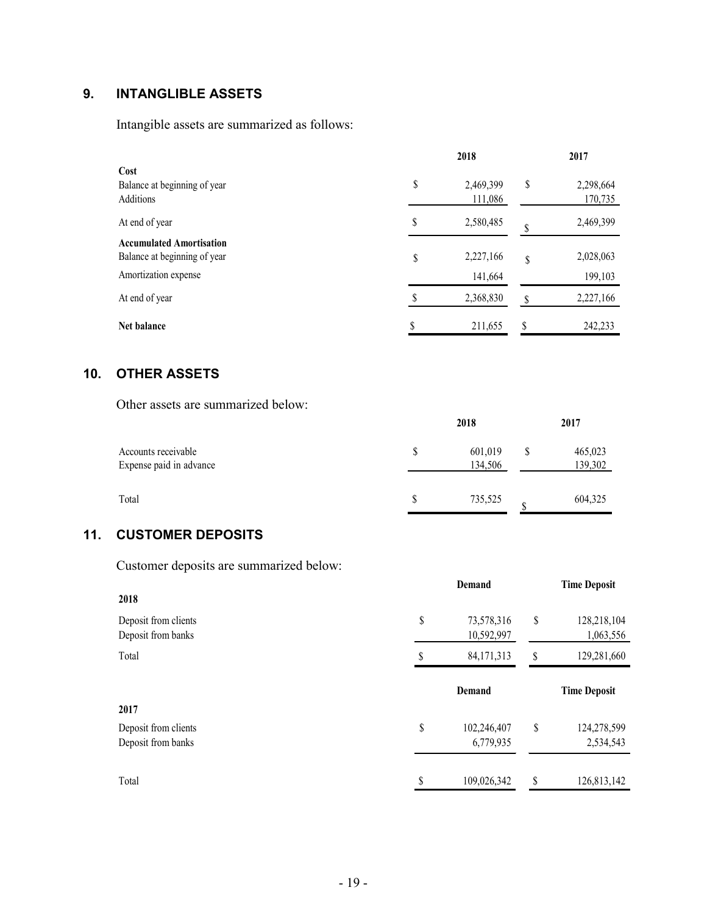### **9. INTANGLIBLE ASSETS**

Intangible assets are summarized as follows:

|                                                                                         |        | 2018                 |    |                      |  |  |
|-----------------------------------------------------------------------------------------|--------|----------------------|----|----------------------|--|--|
| Cost<br>Balance at beginning of year<br><b>Additions</b>                                | \$     | 2,469,399<br>111,086 | \$ | 2,298,664<br>170,735 |  |  |
| At end of year                                                                          | \$     | 2,580,485            |    | 2,469,399            |  |  |
| <b>Accumulated Amortisation</b><br>Balance at beginning of year<br>Amortization expense | \$     | 2,227,166<br>141,664 | \$ | 2,028,063<br>199,103 |  |  |
| At end of year                                                                          |        | 2,368,830            |    | 2,227,166            |  |  |
| <b>Net balance</b>                                                                      | ¢<br>Φ | 211,655              | \$ | 242,233              |  |  |

### **10. OTHER ASSETS**

Other assets are summarized below:

|                                                | 2018 |                    |  | 2017               |  |  |
|------------------------------------------------|------|--------------------|--|--------------------|--|--|
| Accounts receivable<br>Expense paid in advance |      | 601,019<br>134,506 |  | 465,023<br>139,302 |  |  |
| Total                                          |      | 735,525            |  | 604,325            |  |  |

### **11. CUSTOMER DEPOSITS**

Customer deposits are summarized below:

|                      | Demand             |    |                     |
|----------------------|--------------------|----|---------------------|
| 2018                 |                    |    |                     |
| Deposit from clients | \$<br>73,578,316   | \$ | 128,218,104         |
| Deposit from banks   | 10,592,997         |    | 1,063,556           |
| Total                | \$<br>84, 171, 313 | \$ | 129,281,660         |
|                      | Demand             |    | <b>Time Deposit</b> |
| 2017                 |                    |    |                     |
| Deposit from clients | \$<br>102,246,407  | \$ | 124,278,599         |
| Deposit from banks   | 6,779,935          |    | 2,534,543           |
|                      |                    |    |                     |
| Total                | \$<br>109,026,342  | \$ | 126,813,142         |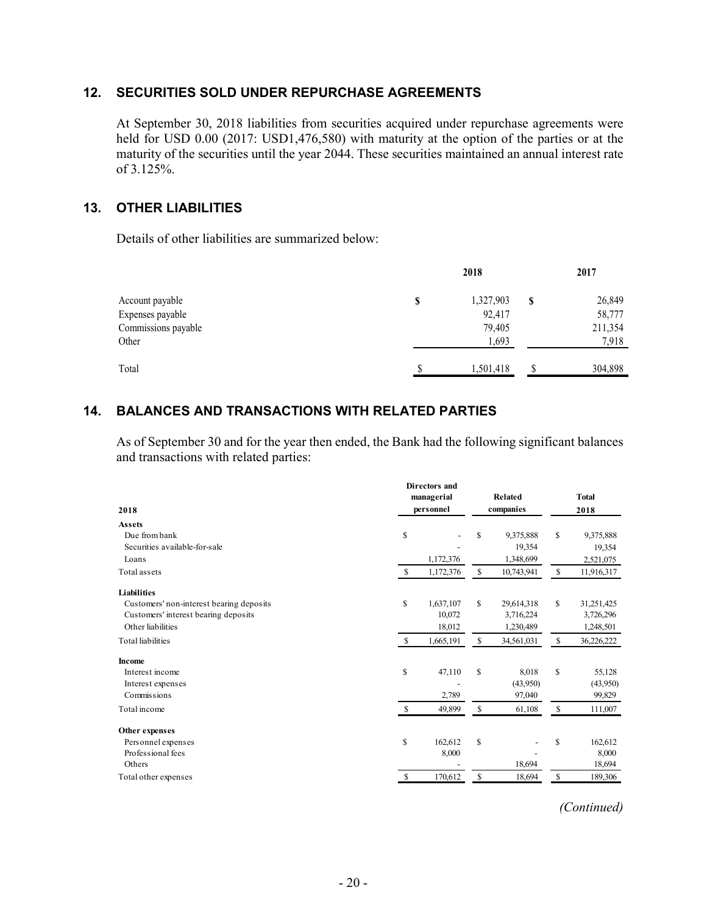### **12. SECURITIES SOLD UNDER REPURCHASE AGREEMENTS**

At September 30, 2018 liabilities from securities acquired under repurchase agreements were held for USD 0.00 (2017: USD1,476,580) with maturity at the option of the parties or at the maturity of the securities until the year 2044. These securities maintained an annual interest rate of 3.125%.

### **13. OTHER LIABILITIES**

Details of other liabilities are summarized below:

|                     | 2018            |   |         |  |
|---------------------|-----------------|---|---------|--|
| Account payable     | \$<br>1,327,903 | S | 26,849  |  |
| Expenses payable    | 92,417          |   | 58,777  |  |
| Commissions payable | 79,405          |   | 211,354 |  |
| Other               | 1,693           |   | 7,918   |  |
| Total               | \$<br>1,501,418 | S | 304,898 |  |
|                     |                 |   |         |  |

### **14. BALANCES AND TRANSACTIONS WITH RELATED PARTIES**

As of September 30 and for the year then ended, the Bank had the following significant balances and transactions with related parties:

|                                          |               | Directors and |              |            |              |              |
|------------------------------------------|---------------|---------------|--------------|------------|--------------|--------------|
|                                          |               | managerial    |              | Related    |              | <b>Total</b> |
| 2018                                     |               | personnel     |              | companies  |              | 2018         |
| <b>Assets</b>                            |               |               |              |            |              |              |
| Due from bank                            | \$            |               | S            | 9,375,888  | \$           | 9,375,888    |
| Securities available-for-sale            |               |               |              | 19,354     |              | 19,354       |
| Loans                                    |               | 1,172,376     |              | 1,348,699  |              | 2,521,075    |
| Total assets                             | -S            | 1,172,376     | \$           | 10,743,941 | $\mathbf{s}$ | 11,916,317   |
| Liabilities                              |               |               |              |            |              |              |
| Customers' non-interest bearing deposits | \$            | 1,637,107     | \$           | 29,614,318 | \$           | 31,251,425   |
| Customers' interest bearing deposits     |               | 10,072        |              | 3,716,224  |              | 3,726,296    |
| Other liabilities                        |               | 18,012        |              | 1,230,489  |              | 1,248,501    |
| <b>Total liabilities</b>                 | <sup>\$</sup> | 1,665,191     | $\mathbb{S}$ | 34,561,031 | \$           | 36,226,222   |
| <b>Income</b>                            |               |               |              |            |              |              |
| Interest income                          | \$            | 47,110        | \$           | 8.018      | S            | 55,128       |
| Interest expenses                        |               |               |              | (43,950)   |              | (43,950)     |
| Commissions                              |               | 2,789         |              | 97,040     |              | 99,829       |
| Total income                             | <sup>\$</sup> | 49,899        | \$           | 61,108     | \$           | 111,007      |
| Other expenses                           |               |               |              |            |              |              |
| Personnel expenses                       | \$            | 162,612       | \$           |            | \$           | 162,612      |
| Professional fees                        |               | 8,000         |              |            |              | 8,000        |
| Others                                   |               |               |              | 18,694     |              | 18,694       |
| Total other expenses                     | \$            | 170,612       | \$           | 18,694     | \$           | 189,306      |

*(Continued)*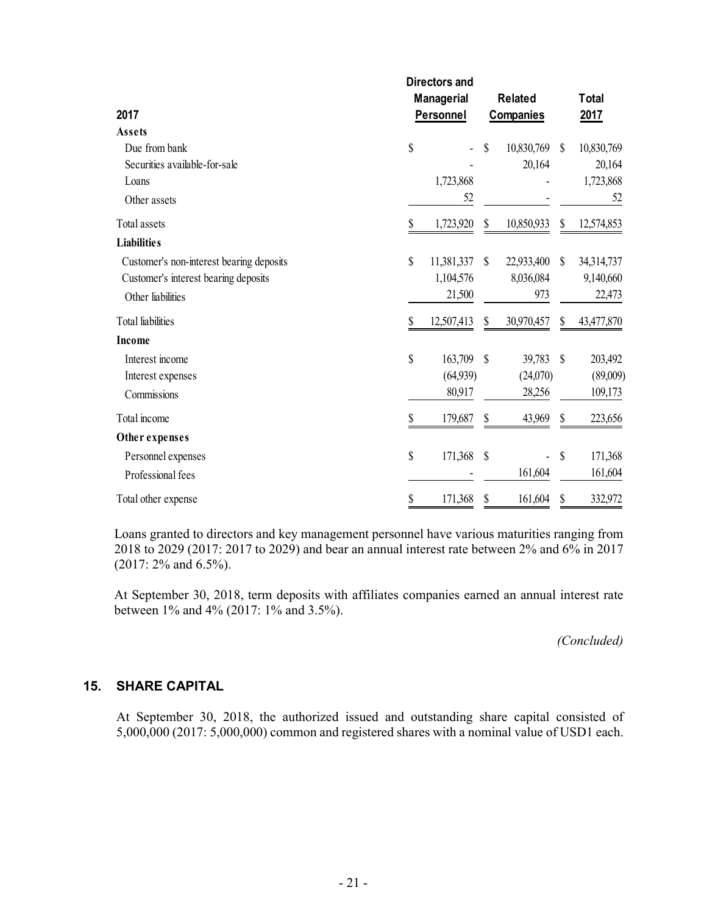|                                          |    | <b>Directors and</b> |               |                  |                           |              |
|------------------------------------------|----|----------------------|---------------|------------------|---------------------------|--------------|
|                                          |    | <b>Managerial</b>    |               | <b>Related</b>   |                           | <b>Total</b> |
| 2017                                     |    | Personnel            |               | <b>Companies</b> |                           | <u>2017</u>  |
| Assets                                   |    |                      |               |                  |                           |              |
| Due from bank                            | \$ |                      | \$            | 10,830,769       | $\mathcal{S}$             | 10,830,769   |
| Securities available-for-sale            |    |                      |               | 20,164           |                           | 20,164       |
| Loans                                    |    | 1,723,868            |               |                  |                           | 1,723,868    |
| Other assets                             |    | 52                   |               |                  |                           | 52           |
| Total assets                             | \$ | 1,723,920            | \$            | 10,850,933       | \$                        | 12,574,853   |
| <b>Liabilities</b>                       |    |                      |               |                  |                           |              |
| Customer's non-interest bearing deposits | \$ | 11,381,337           | \$            | 22,933,400       | \$                        | 34,314,737   |
| Customer's interest bearing deposits     |    | 1,104,576            |               | 8,036,084        |                           | 9,140,660    |
| Other liabilities                        |    | 21,500               |               | 973              |                           | 22,473       |
| <b>Total</b> liabilities                 | S  | 12,507,413           | \$            | 30,970,457       | \$                        | 43,477,870   |
| Income                                   |    |                      |               |                  |                           |              |
| Interest income                          | \$ | 163,709              | $\mathcal{S}$ | 39,783           | $\mathcal{S}$             | 203,492      |
| Interest expenses                        |    | (64,939)             |               | (24,070)         |                           | (89,009)     |
| Commissions                              |    | 80,917               |               | 28,256           |                           | 109,173      |
| Total income                             | \$ | 179,687              | \$            | 43,969           | \$                        | 223,656      |
| Other expenses                           |    |                      |               |                  |                           |              |
| Personnel expenses                       | \$ | 171,368              | $\mathcal{S}$ |                  | $\boldsymbol{\mathsf{S}}$ | 171,368      |
| Professional fees                        |    |                      |               | 161,604          |                           | 161,604      |
| Total other expense                      | \$ | 171,368              | \$            | 161,604          | \$                        | 332,972      |

Loans granted to directors and key management personnel have various maturities ranging from 2018 to 2029 (2017: 2017 to 2029) and bear an annual interest rate between 2% and 6% in 2017 (2017: 2% and 6.5%).

At September 30, 2018, term deposits with affiliates companies earned an annual interest rate between 1% and 4% (2017: 1% and 3.5%).

*(Concluded)*

### **15. SHARE CAPITAL**

At September 30, 2018, the authorized issued and outstanding share capital consisted of 5,000,000 (2017: 5,000,000) common and registered shares with a nominal value of USD1 each.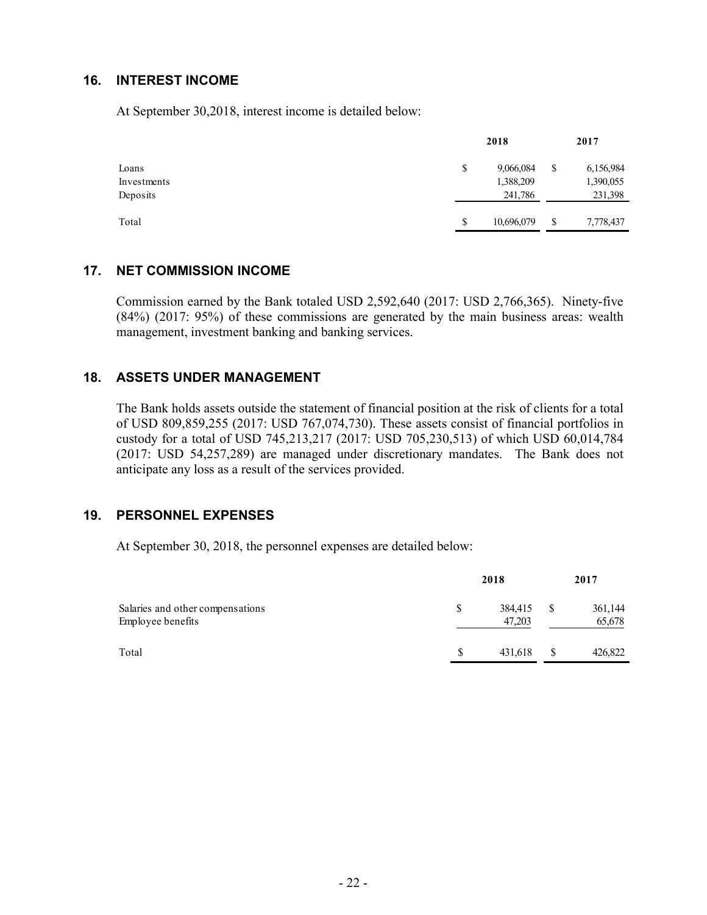### **16. INTEREST INCOME**

At September 30,2018, interest income is detailed below:

|             | 2018             |    |           |
|-------------|------------------|----|-----------|
| Loans       | \$<br>9,066,084  | \$ | 6,156,984 |
| Investments | 1,388,209        |    | 1,390,055 |
| Deposits    | 241,786          |    | 231,398   |
| Total       | \$<br>10,696,079 | \$ | 7,778,437 |
|             |                  |    |           |

#### **17. NET COMMISSION INCOME**

Commission earned by the Bank totaled USD 2,592,640 (2017: USD 2,766,365). Ninety-five (84%) (2017: 95%) of these commissions are generated by the main business areas: wealth management, investment banking and banking services.

### **18. ASSETS UNDER MANAGEMENT**

The Bank holds assets outside the statement of financial position at the risk of clients for a total of USD 809,859,255 (2017: USD 767,074,730). These assets consist of financial portfolios in custody for a total of USD 745,213,217 (2017: USD 705,230,513) of which USD 60,014,784 (2017: USD 54,257,289) are managed under discretionary mandates. The Bank does not anticipate any loss as a result of the services provided.

### **19. PERSONNEL EXPENSES**

At September 30, 2018, the personnel expenses are detailed below:

|                                                       | 2018 |                   |    | 2017              |  |  |
|-------------------------------------------------------|------|-------------------|----|-------------------|--|--|
| Salaries and other compensations<br>Employee benefits | S    | 384,415<br>47,203 | -S | 361,144<br>65,678 |  |  |
| Total                                                 | \$   | 431.618           | S  | 426,822           |  |  |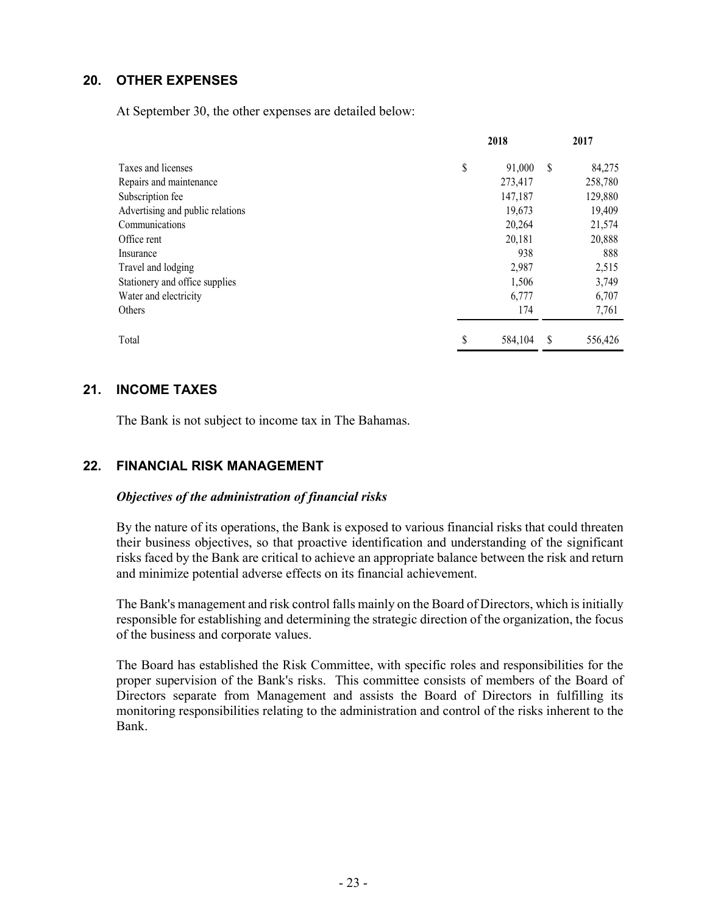### **20. OTHER EXPENSES**

At September 30, the other expenses are detailed below:

|                                  | 2018 |         |    | 2017    |  |  |
|----------------------------------|------|---------|----|---------|--|--|
| Taxes and licenses               | \$   | 91,000  | \$ | 84,275  |  |  |
| Repairs and maintenance          |      | 273,417 |    | 258,780 |  |  |
| Subscription fee                 |      | 147,187 |    | 129,880 |  |  |
| Advertising and public relations |      | 19,673  |    | 19,409  |  |  |
| Communications                   |      | 20,264  |    | 21,574  |  |  |
| Office rent                      |      | 20,181  |    | 20,888  |  |  |
| Insurance                        |      | 938     |    | 888     |  |  |
| Travel and lodging               |      | 2,987   |    | 2,515   |  |  |
| Stationery and office supplies   |      | 1,506   |    | 3,749   |  |  |
| Water and electricity            |      | 6,777   |    | 6,707   |  |  |
| Others                           |      | 174     |    | 7,761   |  |  |
| Total                            | \$   | 584,104 | S  | 556,426 |  |  |

### **21. INCOME TAXES**

The Bank is not subject to income tax in The Bahamas.

### **22. FINANCIAL RISK MANAGEMENT**

### *Objectives of the administration of financial risks*

By the nature of its operations, the Bank is exposed to various financial risks that could threaten their business objectives, so that proactive identification and understanding of the significant risks faced by the Bank are critical to achieve an appropriate balance between the risk and return and minimize potential adverse effects on its financial achievement.

The Bank's management and risk control falls mainly on the Board of Directors, which is initially responsible for establishing and determining the strategic direction of the organization, the focus of the business and corporate values.

The Board has established the Risk Committee, with specific roles and responsibilities for the proper supervision of the Bank's risks. This committee consists of members of the Board of Directors separate from Management and assists the Board of Directors in fulfilling its monitoring responsibilities relating to the administration and control of the risks inherent to the Bank.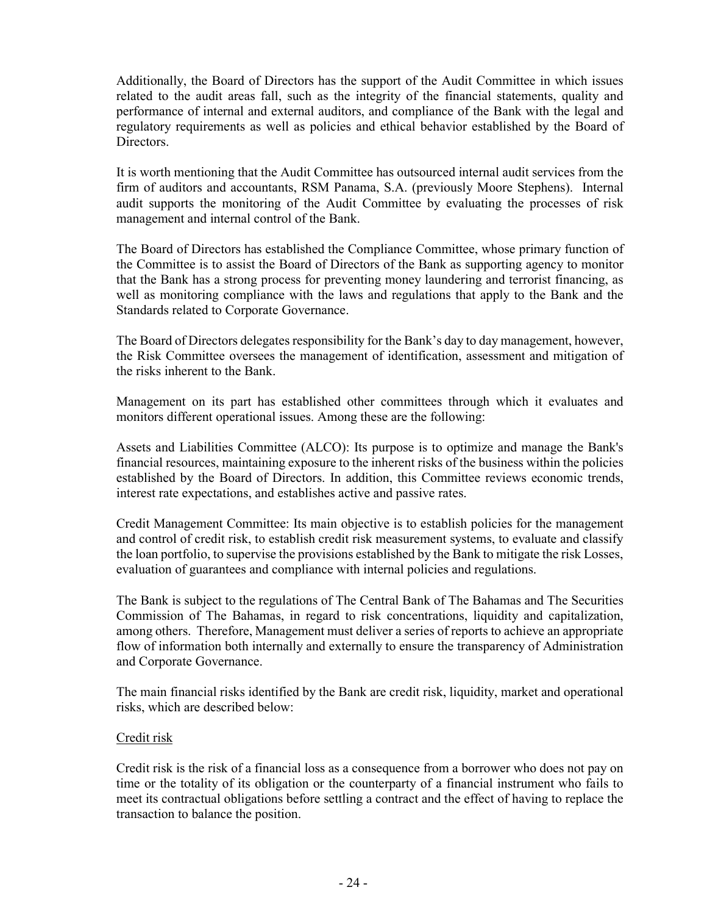Additionally, the Board of Directors has the support of the Audit Committee in which issues related to the audit areas fall, such as the integrity of the financial statements, quality and performance of internal and external auditors, and compliance of the Bank with the legal and regulatory requirements as well as policies and ethical behavior established by the Board of Directors.

It is worth mentioning that the Audit Committee has outsourced internal audit services from the firm of auditors and accountants, RSM Panama, S.A. (previously Moore Stephens). Internal audit supports the monitoring of the Audit Committee by evaluating the processes of risk management and internal control of the Bank.

The Board of Directors has established the Compliance Committee, whose primary function of the Committee is to assist the Board of Directors of the Bank as supporting agency to monitor that the Bank has a strong process for preventing money laundering and terrorist financing, as well as monitoring compliance with the laws and regulations that apply to the Bank and the Standards related to Corporate Governance.

The Board of Directors delegates responsibility for the Bank's day to day management, however, the Risk Committee oversees the management of identification, assessment and mitigation of the risks inherent to the Bank.

Management on its part has established other committees through which it evaluates and monitors different operational issues. Among these are the following:

Assets and Liabilities Committee (ALCO): Its purpose is to optimize and manage the Bank's financial resources, maintaining exposure to the inherent risks of the business within the policies established by the Board of Directors. In addition, this Committee reviews economic trends, interest rate expectations, and establishes active and passive rates.

Credit Management Committee: Its main objective is to establish policies for the management and control of credit risk, to establish credit risk measurement systems, to evaluate and classify the loan portfolio, to supervise the provisions established by the Bank to mitigate the risk Losses, evaluation of guarantees and compliance with internal policies and regulations.

The Bank is subject to the regulations of The Central Bank of The Bahamas and The Securities Commission of The Bahamas, in regard to risk concentrations, liquidity and capitalization, among others. Therefore, Management must deliver a series of reports to achieve an appropriate flow of information both internally and externally to ensure the transparency of Administration and Corporate Governance.

The main financial risks identified by the Bank are credit risk, liquidity, market and operational risks, which are described below:

### Credit risk

Credit risk is the risk of a financial loss as a consequence from a borrower who does not pay on time or the totality of its obligation or the counterparty of a financial instrument who fails to meet its contractual obligations before settling a contract and the effect of having to replace the transaction to balance the position.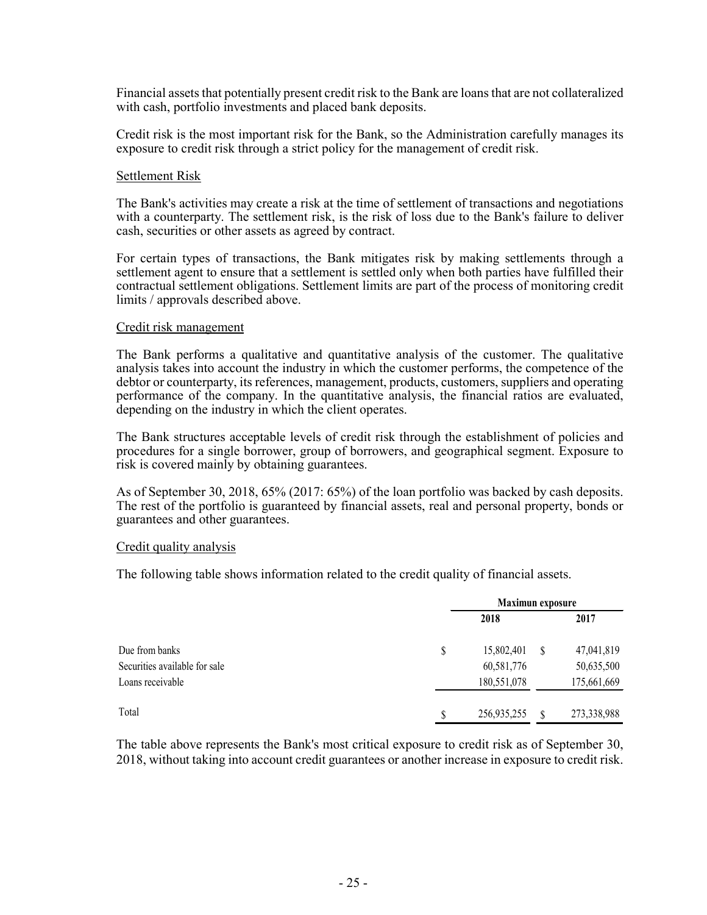Financial assets that potentially present credit risk to the Bank are loans that are not collateralized with cash, portfolio investments and placed bank deposits.

Credit risk is the most important risk for the Bank, so the Administration carefully manages its exposure to credit risk through a strict policy for the management of credit risk.

#### Settlement Risk

The Bank's activities may create a risk at the time of settlement of transactions and negotiations with a counterparty. The settlement risk, is the risk of loss due to the Bank's failure to deliver cash, securities or other assets as agreed by contract.

For certain types of transactions, the Bank mitigates risk by making settlements through a settlement agent to ensure that a settlement is settled only when both parties have fulfilled their contractual settlement obligations. Settlement limits are part of the process of monitoring credit limits / approvals described above.

#### Credit risk management

The Bank performs a qualitative and quantitative analysis of the customer. The qualitative analysis takes into account the industry in which the customer performs, the competence of the debtor or counterparty, its references, management, products, customers, suppliers and operating performance of the company. In the quantitative analysis, the financial ratios are evaluated, depending on the industry in which the client operates.

The Bank structures acceptable levels of credit risk through the establishment of policies and procedures for a single borrower, group of borrowers, and geographical segment. Exposure to risk is covered mainly by obtaining guarantees.

As of September 30, 2018, 65% (2017: 65%) of the loan portfolio was backed by cash deposits. The rest of the portfolio is guaranteed by financial assets, real and personal property, bonds or guarantees and other guarantees.

#### Credit quality analysis

The following table shows information related to the credit quality of financial assets.

|                               |    | <b>Maximun</b> exposure |               |             |  |
|-------------------------------|----|-------------------------|---------------|-------------|--|
|                               |    | 2018                    |               | 2017        |  |
| Due from banks                | \$ | 15,802,401              | <sup>\$</sup> | 47,041,819  |  |
| Securities available for sale |    | 60,581,776              |               | 50,635,500  |  |
| Loans receivable              |    | 180,551,078             |               | 175,661,669 |  |
| Total                         | S  | 256,935,255             | S             | 273,338,988 |  |

The table above represents the Bank's most critical exposure to credit risk as of September 30, 2018, without taking into account credit guarantees or another increase in exposure to credit risk.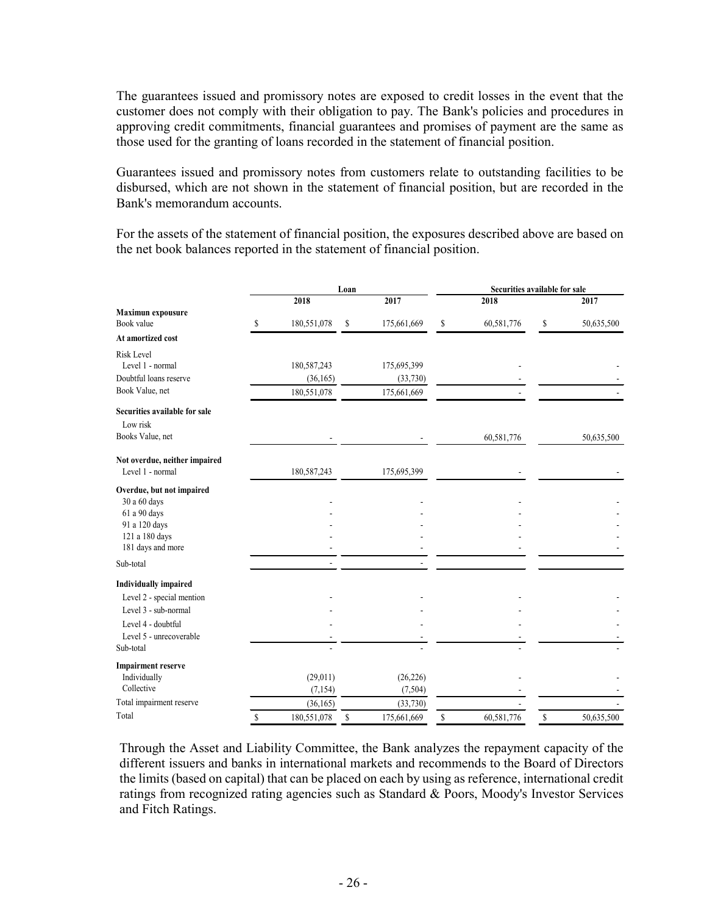The guarantees issued and promissory notes are exposed to credit losses in the event that the customer does not comply with their obligation to pay. The Bank's policies and procedures in approving credit commitments, financial guarantees and promises of payment are the same as those used for the granting of loans recorded in the statement of financial position.

Guarantees issued and promissory notes from customers relate to outstanding facilities to be disbursed, which are not shown in the statement of financial position, but are recorded in the Bank's memorandum accounts.

For the assets of the statement of financial position, the exposures described above are based on the net book balances reported in the statement of financial position.

|                               |    |             | Loan |             | Securities available for sale |            |    |            |
|-------------------------------|----|-------------|------|-------------|-------------------------------|------------|----|------------|
|                               |    | 2018        |      | 2017        |                               | 2018       |    | 2017       |
| <b>Maximun expousure</b>      |    |             |      |             |                               |            |    |            |
| Book value                    | \$ | 180,551,078 | \$   | 175,661,669 | \$                            | 60,581,776 | \$ | 50,635,500 |
| At amortized cost             |    |             |      |             |                               |            |    |            |
| <b>Risk Level</b>             |    |             |      |             |                               |            |    |            |
| Level 1 - normal              |    | 180,587,243 |      | 175,695,399 |                               |            |    |            |
| Doubtful loans reserve        |    | (36, 165)   |      | (33,730)    |                               |            |    |            |
| Book Value, net               |    | 180,551,078 |      | 175,661,669 |                               |            |    |            |
| Securities available for sale |    |             |      |             |                               |            |    |            |
| Low risk                      |    |             |      |             |                               |            |    |            |
| Books Value, net              |    |             |      |             |                               | 60,581,776 |    | 50,635,500 |
| Not overdue, neither impaired |    |             |      |             |                               |            |    |            |
| Level 1 - normal              |    | 180,587,243 |      | 175,695,399 |                               |            |    |            |
| Overdue, but not impaired     |    |             |      |             |                               |            |    |            |
| 30 a 60 days                  |    |             |      |             |                               |            |    |            |
| 61 a 90 days                  |    |             |      |             |                               |            |    |            |
| 91 a 120 days                 |    |             |      |             |                               |            |    |            |
| 121 a 180 days                |    |             |      |             |                               |            |    |            |
| 181 days and more             |    |             |      |             |                               |            |    |            |
| Sub-total                     |    |             |      |             |                               |            |    |            |
| <b>Individually impaired</b>  |    |             |      |             |                               |            |    |            |
| Level 2 - special mention     |    |             |      |             |                               |            |    |            |
| Level 3 - sub-normal          |    |             |      |             |                               |            |    |            |
| Level 4 - doubtful            |    |             |      |             |                               |            |    |            |
| Level 5 - unrecoverable       |    |             |      |             |                               |            |    |            |
| Sub-total                     |    |             |      |             |                               |            |    |            |
| <b>Impairment reserve</b>     |    |             |      |             |                               |            |    |            |
| Individually                  |    | (29,011)    |      | (26, 226)   |                               |            |    |            |
| Collective                    |    | (7, 154)    |      | (7,504)     |                               |            |    |            |
| Total impairment reserve      |    | (36, 165)   |      | (33, 730)   |                               |            |    |            |
| Total                         | S  | 180,551,078 | \$   | 175,661,669 | S                             | 60,581,776 | \$ | 50,635,500 |

Through the Asset and Liability Committee, the Bank analyzes the repayment capacity of the different issuers and banks in international markets and recommends to the Board of Directors the limits (based on capital) that can be placed on each by using as reference, international credit ratings from recognized rating agencies such as Standard & Poors, Moody's Investor Services and Fitch Ratings.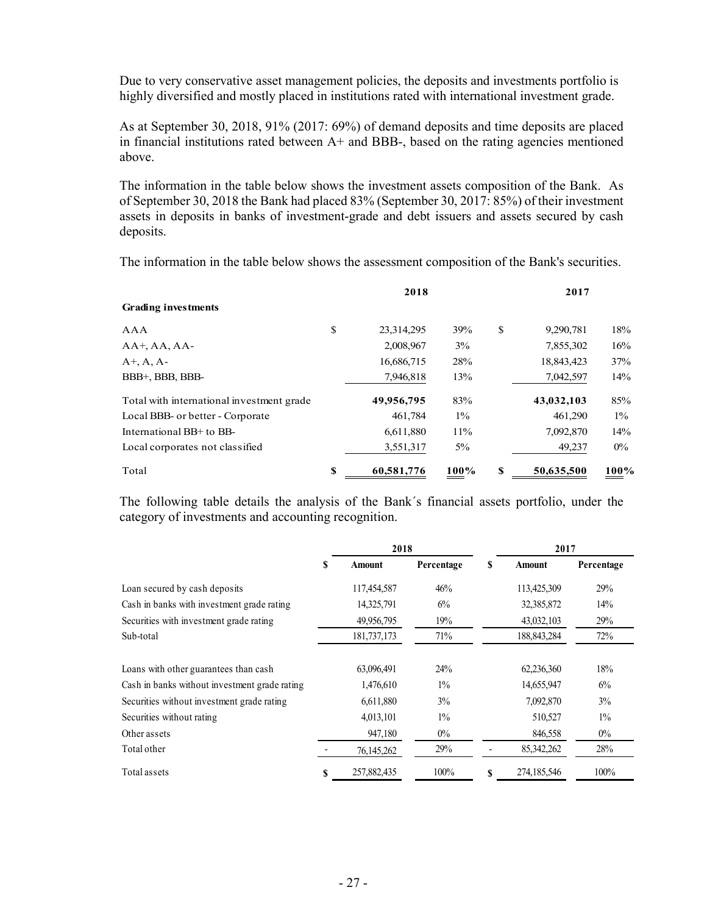Due to very conservative asset management policies, the deposits and investments portfolio is highly diversified and mostly placed in institutions rated with international investment grade.

As at September 30, 2018, 91% (2017: 69%) of demand deposits and time deposits are placed in financial institutions rated between  $A<sup>+</sup>$  and BBB-, based on the rating agencies mentioned above.

The information in the table below shows the investment assets composition of the Bank. As of September 30, 2018 the Bank had placed 83% (September 30, 2017: 85%) of their investment assets in deposits in banks of investment-grade and debt issuers and assets secured by cash deposits.

The information in the table below shows the assessment composition of the Bank's securities.

|                                           |    | 2018       |        |    | 2017       |       |
|-------------------------------------------|----|------------|--------|----|------------|-------|
| <b>Grading investments</b>                |    |            |        |    |            |       |
| AAA                                       | \$ | 23,314,295 | 39%    | \$ | 9,290,781  | 18%   |
| $AA^+$ , AA, AA-                          |    | 2,008,967  | 3%     |    | 7,855,302  | 16%   |
| $A^+, A, A^-$                             |    | 16,686,715 | 28%    |    | 18,843,423 | 37%   |
| BBB+, BBB, BBB-                           |    | 7,946,818  | 13%    |    | 7,042,597  | 14%   |
| Total with international investment grade |    | 49,956,795 | 83%    |    | 43,032,103 | 85%   |
| Local BBB- or better - Corporate          |    | 461,784    | $1\%$  |    | 461,290    | $1\%$ |
| International BB+ to BB-                  |    | 6,611,880  | $11\%$ |    | 7,092,870  | 14%   |
| Local corporates not classified           |    | 3,551,317  | $5\%$  |    | 49,237     | $0\%$ |
| Total                                     | S  | 60,581,776 | 100%   | S  | 50,635,500 | 100%  |

The following table details the analysis of the Bank´s financial assets portfolio, under the category of investments and accounting recognition.

|                                               |   | 2018        |            |    | 2017          |            |
|-----------------------------------------------|---|-------------|------------|----|---------------|------------|
|                                               | S | Amount      | Percentage | S  | <b>Amount</b> | Percentage |
| Loan secured by cash deposits                 |   | 117,454,587 | 46%        |    | 113,425,309   | 29%        |
| Cash in banks with investment grade rating    |   | 14,325,791  | 6%         |    | 32,385,872    | 14%        |
| Securities with investment grade rating       |   | 49,956,795  | 19%        |    | 43,032,103    | 29%        |
| Sub-total                                     |   | 181,737,173 | 71%        |    | 188, 843, 284 | 72%        |
| Loans with other guarantees than cash         |   | 63,096,491  | 24%        |    | 62,236,360    | 18%        |
| Cash in banks without investment grade rating |   | 1,476,610   | $1\%$      |    | 14,655,947    | 6%         |
| Securities without investment grade rating    |   | 6,611,880   | 3%         |    | 7,092,870     | 3%         |
| Securities without rating                     |   | 4,013,101   | $1\%$      |    | 510,527       | $1\%$      |
| Other assets                                  |   | 947,180     | $0\%$      |    | 846,558       | $0\%$      |
| Total other                                   |   | 76,145,262  | 29%        |    | 85, 342, 262  | 28%        |
| Total assets                                  | S | 257,882,435 | 100%       | \$ | 274,185,546   | 100%       |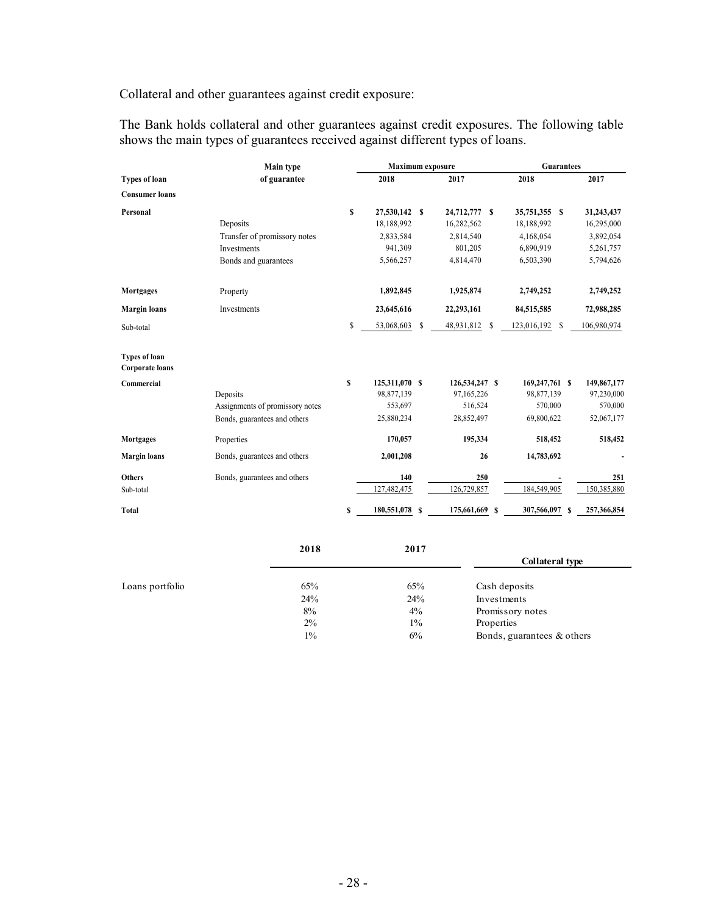Collateral and other guarantees against credit exposure:

The Bank holds collateral and other guarantees against credit exposures. The following table shows the main types of guarantees received against different types of loans.

|                                                | Main type                       |    | <b>Maximum</b> exposure |    |                 |   | <b>Guarantees</b> |   |             |
|------------------------------------------------|---------------------------------|----|-------------------------|----|-----------------|---|-------------------|---|-------------|
| <b>Types of loan</b>                           | of guarantee                    |    | 2018                    |    | 2017            |   | 2018              |   | 2017        |
| <b>Consumer loans</b>                          |                                 |    |                         |    |                 |   |                   |   |             |
| Personal                                       |                                 | \$ | 27,530,142 \$           |    | 24,712,777 \$   |   | 35,751,355 \$     |   | 31,243,437  |
|                                                | Deposits                        |    | 18,188,992              |    | 16,282,562      |   | 18,188,992        |   | 16,295,000  |
|                                                | Transfer of promissory notes    |    | 2,833,584               |    | 2,814,540       |   | 4,168,054         |   | 3,892,054   |
|                                                | Investments                     |    | 941,309                 |    | 801,205         |   | 6,890,919         |   | 5,261,757   |
|                                                | Bonds and guarantees            |    | 5,566,257               |    | 4,814,470       |   | 6.503.390         |   | 5,794,626   |
| Mortgages                                      | Property                        |    | 1,892,845               |    | 1,925,874       |   | 2,749,252         |   | 2,749,252   |
| <b>Margin</b> loans                            | Investments                     |    | 23,645,616              |    | 22,293,161      |   | 84,515,585        |   | 72,988,285  |
| Sub-total                                      |                                 | \$ | 53,068,603              | \$ | 48,931,812<br>S |   | 123,016,192<br>\$ |   | 106,980,974 |
| <b>Types of loan</b><br><b>Corporate loans</b> |                                 |    |                         |    |                 |   |                   |   |             |
| Commercial                                     |                                 | \$ | 125,311,070 \$          |    | 126,534,247 \$  |   | 169,247,761 \$    |   | 149,867,177 |
|                                                | Deposits                        |    | 98,877,139              |    | 97,165,226      |   | 98,877,139        |   | 97,230,000  |
|                                                | Assignments of promissory notes |    | 553,697                 |    | 516,524         |   | 570,000           |   | 570,000     |
|                                                | Bonds, guarantees and others    |    | 25,880,234              |    | 28,852,497      |   | 69,800,622        |   | 52,067,177  |
| Mortgages                                      | Properties                      |    | 170,057                 |    | 195,334         |   | 518,452           |   | 518,452     |
| <b>Margin</b> loans                            | Bonds, guarantees and others    |    | 2,001,208               |    | 26              |   | 14,783,692        |   |             |
| <b>Others</b>                                  | Bonds, guarantees and others    |    | 140                     |    | 250             |   |                   |   | 251         |
| Sub-total                                      |                                 |    | 127,482,475             |    | 126,729,857     |   | 184,549,905       |   | 150,385,880 |
| Total                                          |                                 | S  | 180,551,078             | S  | 175,661,669     | S | 307,566,097       | S | 257,366,854 |
|                                                |                                 |    |                         |    |                 |   |                   |   |             |

|                 | 2018  | 2017  |                            |
|-----------------|-------|-------|----------------------------|
|                 |       |       | <b>Collateral type</b>     |
| Loans portfolio | 65%   | 65%   | Cash deposits              |
|                 | 24%   | 24%   | Investments                |
|                 | 8%    | $4\%$ | Promissory notes           |
|                 | $2\%$ | $1\%$ | Properties                 |
|                 | $1\%$ | 6%    | Bonds, guarantees & others |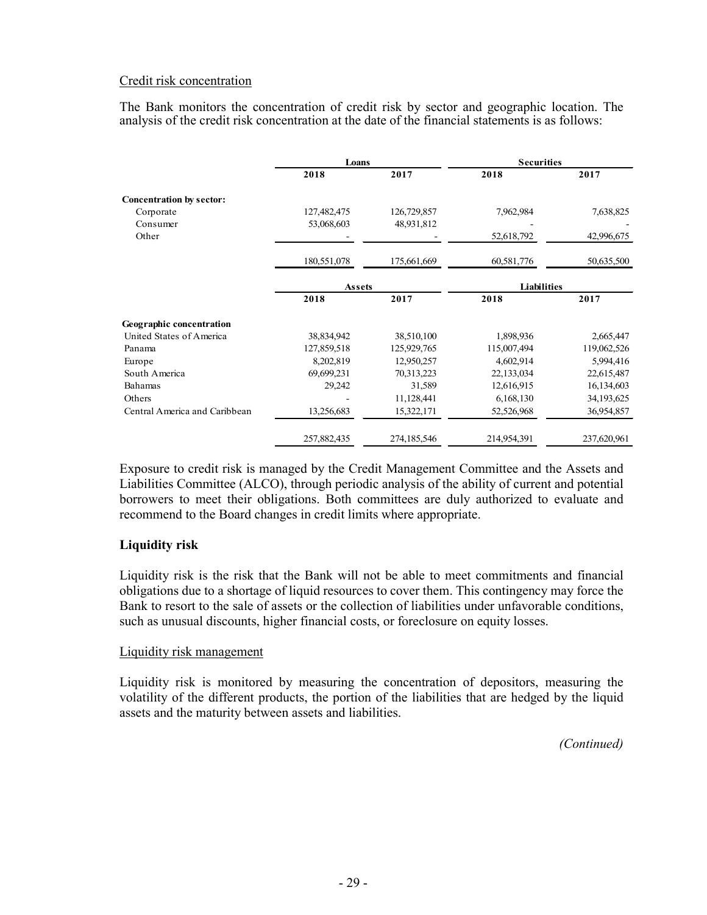### Credit risk concentration

The Bank monitors the concentration of credit risk by sector and geographic location. The analysis of the credit risk concentration at the date of the financial statements is as follows:

|                                 | Loans         |             | <b>Securities</b> |             |
|---------------------------------|---------------|-------------|-------------------|-------------|
|                                 | 2018          | 2017        | 2018              | 2017        |
| <b>Concentration by sector:</b> |               |             |                   |             |
| Corporate                       | 127,482,475   | 126,729,857 | 7,962,984         | 7,638,825   |
| Consumer                        | 53,068,603    | 48,931,812  |                   |             |
| Other                           |               |             | 52,618,792        | 42,996,675  |
|                                 | 180,551,078   | 175,661,669 | 60,581,776        | 50,635,500  |
|                                 | <b>Assets</b> |             | Liabilities       |             |
|                                 | 2018          | 2017        | 2018              | 2017        |
| <b>Geographic concentration</b> |               |             |                   |             |
| United States of America        | 38,834,942    | 38,510,100  | 1,898,936         | 2,665,447   |
| Panama                          | 127,859,518   | 125,929,765 | 115,007,494       | 119,062,526 |
| Europe                          | 8,202,819     | 12,950,257  | 4,602,914         | 5,994,416   |
| South America                   | 69,699,231    | 70,313,223  | 22,133,034        | 22,615,487  |
| Bahamas                         | 29,242        | 31,589      | 12,616,915        | 16,134,603  |
| Others                          |               | 11,128,441  | 6,168,130         | 34,193,625  |
| Central America and Caribbean   | 13,256,683    | 15,322,171  | 52,526,968        | 36,954,857  |
|                                 | 257,882,435   | 274,185,546 | 214,954,391       | 237,620,961 |

Exposure to credit risk is managed by the Credit Management Committee and the Assets and Liabilities Committee (ALCO), through periodic analysis of the ability of current and potential borrowers to meet their obligations. Both committees are duly authorized to evaluate and recommend to the Board changes in credit limits where appropriate.

### **Liquidity risk**

Liquidity risk is the risk that the Bank will not be able to meet commitments and financial obligations due to a shortage of liquid resources to cover them. This contingency may force the Bank to resort to the sale of assets or the collection of liabilities under unfavorable conditions, such as unusual discounts, higher financial costs, or foreclosure on equity losses.

#### Liquidity risk management

Liquidity risk is monitored by measuring the concentration of depositors, measuring the volatility of the different products, the portion of the liabilities that are hedged by the liquid assets and the maturity between assets and liabilities.

*(Continued)*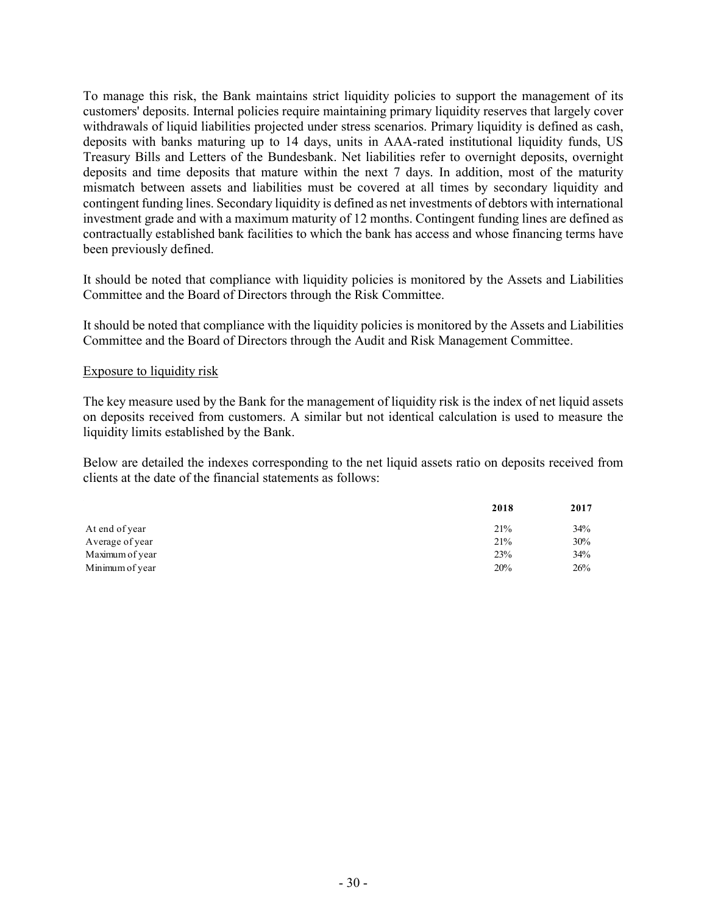To manage this risk, the Bank maintains strict liquidity policies to support the management of its customers' deposits. Internal policies require maintaining primary liquidity reserves that largely cover withdrawals of liquid liabilities projected under stress scenarios. Primary liquidity is defined as cash, deposits with banks maturing up to 14 days, units in AAA-rated institutional liquidity funds, US Treasury Bills and Letters of the Bundesbank. Net liabilities refer to overnight deposits, overnight deposits and time deposits that mature within the next 7 days. In addition, most of the maturity mismatch between assets and liabilities must be covered at all times by secondary liquidity and contingent funding lines. Secondary liquidity is defined as net investments of debtors with international investment grade and with a maximum maturity of 12 months. Contingent funding lines are defined as contractually established bank facilities to which the bank has access and whose financing terms have been previously defined.

It should be noted that compliance with liquidity policies is monitored by the Assets and Liabilities Committee and the Board of Directors through the Risk Committee.

It should be noted that compliance with the liquidity policies is monitored by the Assets and Liabilities Committee and the Board of Directors through the Audit and Risk Management Committee.

#### Exposure to liquidity risk

The key measure used by the Bank for the management of liquidity risk is the index of net liquid assets on deposits received from customers. A similar but not identical calculation is used to measure the liquidity limits established by the Bank.

Below are detailed the indexes corresponding to the net liquid assets ratio on deposits received from clients at the date of the financial statements as follows:

|                 | 2018 | 2017 |
|-----------------|------|------|
| At end of year  | 21%  | 34%  |
| Average of year | 21%  | 30%  |
| Maximum of year | 23%  | 34%  |
| Minimum of year | 20%  | 26%  |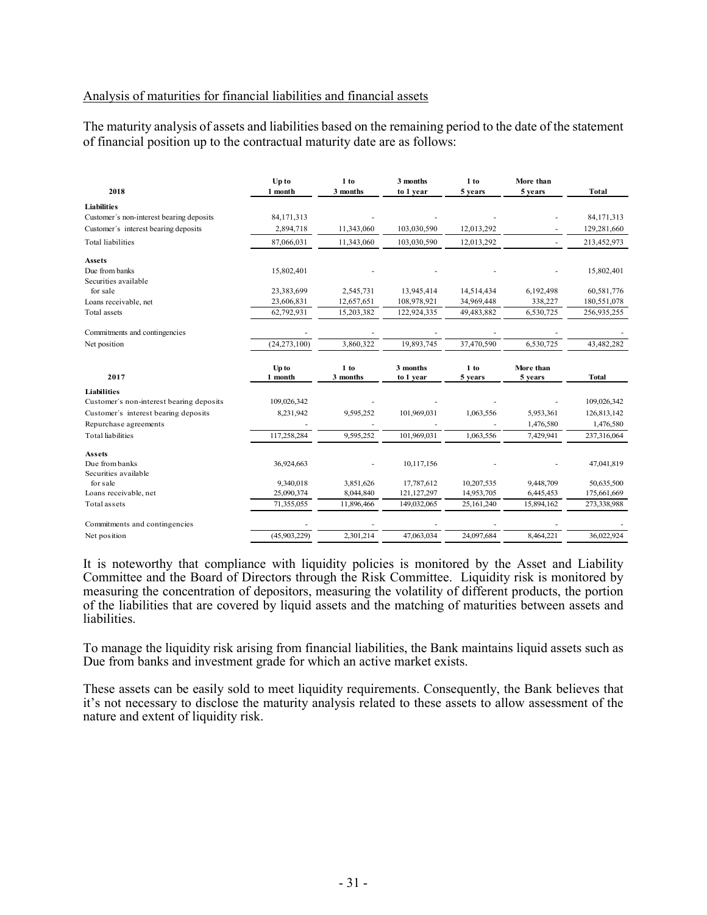#### Analysis of maturities for financial liabilities and financial assets

The maturity analysis of assets and liabilities based on the remaining period to the date of the statement of financial position up to the contractual maturity date are as follows:

| 2018                                     | Up to            | 1 to               | 3 months              | 1 to              | More than            |              |
|------------------------------------------|------------------|--------------------|-----------------------|-------------------|----------------------|--------------|
|                                          | 1 month          | 3 months           | to 1 year             | 5 years           | 5 years              | <b>Total</b> |
| Liabilities                              |                  |                    |                       |                   |                      |              |
| Customer's non-interest bearing deposits | 84, 171, 313     |                    |                       |                   |                      | 84,171,313   |
| Customer's interest bearing deposits     | 2,894,718        | 11,343,060         | 103,030,590           | 12,013,292        |                      | 129,281,660  |
| <b>Total liabilities</b>                 | 87,066,031       | 11,343,060         | 103,030,590           | 12,013,292        |                      | 213,452,973  |
| <b>Assets</b>                            |                  |                    |                       |                   |                      |              |
| Due from banks                           | 15,802,401       |                    |                       |                   |                      | 15,802,401   |
| Securities available                     |                  |                    |                       |                   |                      |              |
| for sale                                 | 23,383,699       | 2,545,731          | 13,945,414            | 14,514,434        | 6,192,498            | 60,581,776   |
| Loans receivable, net                    | 23,606,831       | 12,657,651         | 108,978,921           | 34,969,448        | 338,227              | 180,551,078  |
| Total assets                             | 62,792,931       | 15,203,382         | 122,924,335           | 49,483,882        | 6,530,725            | 256,935,255  |
| Commitments and contingencies            |                  |                    |                       |                   |                      |              |
| Net position                             | (24, 273, 100)   | 3,860,322          | 19,893,745            | 37,470,590        | 6,530,725            | 43,482,282   |
| 2017                                     | Up to<br>1 month | $1$ to<br>3 months | 3 months<br>to 1 year | $1$ to<br>5 years | More than<br>5 years | <b>Total</b> |
|                                          |                  |                    |                       |                   |                      |              |
|                                          |                  |                    |                       |                   |                      |              |
| Liabilities                              |                  |                    |                       |                   |                      |              |
| Customer's non-interest bearing deposits | 109,026,342      |                    |                       |                   |                      | 109,026,342  |
| Customer's interest bearing deposits     | 8,231,942        | 9,595,252          | 101,969,031           | 1,063,556         | 5,953,361            | 126,813,142  |
| Repurchase agreements                    |                  |                    |                       |                   | 1,476,580            | 1,476,580    |
| <b>Total</b> liabilities                 | 117,258,284      | 9,595,252          | 101,969,031           | 1,063,556         | 7,429,941            | 237,316,064  |
| Assets                                   |                  |                    |                       |                   |                      |              |
| Due from banks                           | 36,924,663       |                    | 10,117,156            |                   |                      | 47,041,819   |
| Securities available                     |                  |                    |                       |                   |                      |              |
| for sale                                 | 9,340,018        | 3,851,626          | 17,787,612            | 10,207,535        | 9,448,709            | 50,635,500   |
| Loans receivable, net                    | 25,090,374       | 8,044,840          | 121, 127, 297         | 14,953,705        | 6,445,453            | 175,661,669  |
| Total assets                             | 71,355,055       | 11,896,466         | 149,032,065           | 25,161,240        | 15,894,162           | 273,338,988  |
| Commitments and contingencies            |                  |                    |                       |                   |                      |              |

It is noteworthy that compliance with liquidity policies is monitored by the Asset and Liability Committee and the Board of Directors through the Risk Committee. Liquidity risk is monitored by measuring the concentration of depositors, measuring the volatility of different products, the portion of the liabilities that are covered by liquid assets and the matching of maturities between assets and liabilities.

To manage the liquidity risk arising from financial liabilities, the Bank maintains liquid assets such as Due from banks and investment grade for which an active market exists.

These assets can be easily sold to meet liquidity requirements. Consequently, the Bank believes that it's not necessary to disclose the maturity analysis related to these assets to allow assessment of the nature and extent of liquidity risk.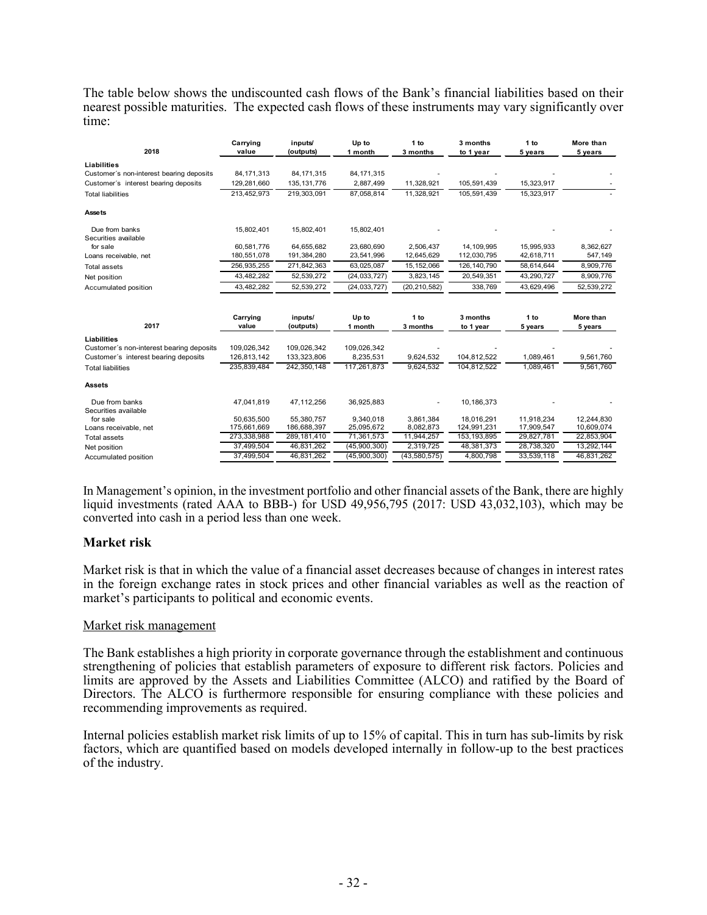The table below shows the undiscounted cash flows of the Bank's financial liabilities based on their nearest possible maturities. The expected cash flows of these instruments may vary significantly over time:

| 2018                                     | Carrying<br>value | inputs/<br>(outputs) | Up to<br>1 month | 1 <sub>to</sub><br>3 months | 3 months<br>to 1 year | 1 to<br>5 years | More than<br>5 years |
|------------------------------------------|-------------------|----------------------|------------------|-----------------------------|-----------------------|-----------------|----------------------|
|                                          |                   |                      |                  |                             |                       |                 |                      |
| <b>Liabilities</b>                       |                   |                      |                  |                             |                       |                 |                      |
| Customer's non-interest bearing deposits | 84, 171, 313      | 84, 171, 315         | 84, 171, 315     |                             |                       |                 |                      |
| Customer's interest bearing deposits     | 129.281.660       | 135, 131, 776        | 2,887,499        | 11,328,921                  | 105,591,439           | 15,323,917      |                      |
| <b>Total liabilities</b>                 | 213,452,973       | 219,303,091          | 87,058,814       | 11,328,921                  | 105.591.439           | 15,323,917      |                      |
| <b>Assets</b>                            |                   |                      |                  |                             |                       |                 |                      |
| Due from banks                           | 15,802,401        | 15,802,401           | 15,802,401       |                             |                       |                 |                      |
| Securities available                     |                   |                      |                  |                             |                       |                 |                      |
| for sale                                 | 60.581.776        | 64,655,682           | 23,680,690       | 2,506,437                   | 14, 109, 995          | 15,995,933      | 8,362,627            |
| Loans receivable, net                    | 180,551,078       | 191,384,280          | 23,541,996       | 12,645,629                  | 112,030,795           | 42,618,711      | 547,149              |
| <b>Total assets</b>                      | 256.935.255       | 271,842,363          | 63,025,087       | 15, 152, 066                | 126.140.790           | 58.614.644      | 8,909,776            |
| Net position                             | 43,482,282        | 52,539,272           | (24, 033, 727)   | 3,823,145                   | 20,549,351            | 43,290,727      | 8,909,776            |
| Accumulated position                     | 43,482,282        | 52,539,272           | (24, 033, 727)   | (20, 210, 582)              | 338,769               | 43,629,496      | 52,539,272           |
|                                          |                   |                      |                  |                             |                       |                 |                      |
|                                          | Carrying          | inputs/              | Up to            | 1 to                        | 3 months              | 1 to            | More than            |
| 2017                                     | value             | (outputs)            | 1 month          | 3 months                    | to 1 year             | 5 years         | 5 years              |
| Liabilities                              |                   |                      |                  |                             |                       |                 |                      |
| Customer's non-interest bearing deposits | 109,026,342       | 109,026,342          | 109,026,342      |                             |                       |                 |                      |
| Customer's interest bearing deposits     | 126,813,142       | 133,323,806          | 8,235,531        | 9,624,532                   | 104,812,522           | 1,089,461       | 9,561,760            |
| <b>Total liabilities</b>                 | 235.839.484       | 242,350,148          | 117,261,873      | 9,624,532                   | 104,812,522           | 1,089,461       | 9,561,760            |
| <b>Assets</b>                            |                   |                      |                  |                             |                       |                 |                      |
| Due from banks                           | 47,041,819        | 47,112,256           | 36,925,883       |                             | 10,186,373            |                 |                      |
| Securities available                     |                   |                      |                  |                             |                       |                 |                      |
| for sale                                 | 50.635.500        | 55,380,757           | 9,340,018        | 3,861,384                   | 18.016.291            | 11.918.234      | 12,244,830           |
| Loans receivable, net                    | 175,661,669       | 186,688,397          | 25,095,672       | 8,082,873                   | 124,991,231           | 17,909,547      | 10,609,074           |
| <b>Total assets</b>                      | 273,338,988       | 289,181,410          | 71,361,573       | 11,944,257                  | 153, 193, 895         | 29,827,781      | 22,853,904           |
| Net position                             | 37.499.504        | 46,831,262           | (45,900,300)     | 2,319,725                   | 48,381,373            | 28,738,320      | 13,292,144           |
| Accumulated position                     | 37,499,504        | 46,831,262           | (45,900,300)     | (43,580,575)                | 4,800,798             | 33,539,118      | 46,831,262           |

In Management's opinion, in the investment portfolio and other financial assets of the Bank, there are highly liquid investments (rated AAA to BBB-) for USD 49,956,795 (2017: USD 43,032,103), which may be converted into cash in a period less than one week.

#### **Market risk**

Market risk is that in which the value of a financial asset decreases because of changes in interest rates in the foreign exchange rates in stock prices and other financial variables as well as the reaction of market's participants to political and economic events.

#### Market risk management

The Bank establishes a high priority in corporate governance through the establishment and continuous strengthening of policies that establish parameters of exposure to different risk factors. Policies and limits are approved by the Assets and Liabilities Committee (ALCO) and ratified by the Board of Directors. The ALCO is furthermore responsible for ensuring compliance with these policies and recommending improvements as required.

Internal policies establish market risk limits of up to 15% of capital. This in turn has sub-limits by risk factors, which are quantified based on models developed internally in follow-up to the best practices of the industry.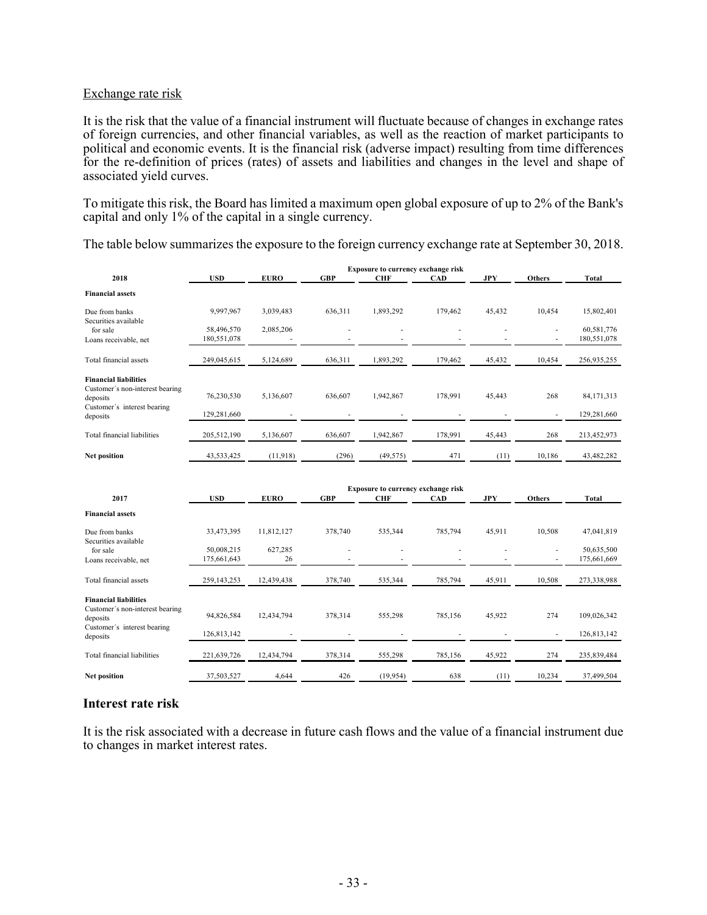### Exchange rate risk

It is the risk that the value of a financial instrument will fluctuate because of changes in exchange rates of foreign currencies, and other financial variables, as well as the reaction of market participants to political and economic events. It is the financial risk (adverse impact) resulting from time differences for the re-definition of prices (rates) of assets and liabilities and changes in the level and shape of associated yield curves.

To mitigate this risk, the Board has limited a maximum open global exposure of up to 2% of the Bank's capital and only 1% of the capital in a single currency.

The table below summarizes the exposure to the foreign currency exchange rate at September 30, 2018.

|                                                                                                            | Exposure to currency exchange risk |               |            |                                                  |            |            |                          |                           |  |  |  |
|------------------------------------------------------------------------------------------------------------|------------------------------------|---------------|------------|--------------------------------------------------|------------|------------|--------------------------|---------------------------|--|--|--|
| 2018                                                                                                       | <b>USD</b>                         | <b>EURO</b>   | <b>GBP</b> | <b>CHF</b>                                       | <b>CAD</b> | <b>JPY</b> | <b>Others</b>            | <b>Total</b>              |  |  |  |
| <b>Financial assets</b>                                                                                    |                                    |               |            |                                                  |            |            |                          |                           |  |  |  |
| Due from banks<br>Securities available                                                                     | 9,997,967                          | 3,039,483     | 636,311    | 1,893,292                                        | 179,462    | 45,432     | 10,454                   | 15,802,401                |  |  |  |
| for sale<br>Loans receivable, net                                                                          | 58,496,570<br>180,551,078          | 2,085,206     |            |                                                  |            |            |                          | 60,581,776<br>180,551,078 |  |  |  |
| Total financial assets                                                                                     | 249,045,615                        | 5,124,689     | 636,311    | 1,893,292                                        | 179,462    | 45,432     | 10,454                   | 256,935,255               |  |  |  |
| <b>Financial liabilities</b><br>Customer's non-interest bearing<br>deposits<br>Customer's interest bearing | 76,230,530                         | 5,136,607     | 636,607    | 1,942,867                                        | 178,991    | 45,443     | 268                      | 84, 171, 313              |  |  |  |
| deposits                                                                                                   | 129,281,660                        |               |            |                                                  |            |            | $\overline{\phantom{a}}$ | 129,281,660               |  |  |  |
| Total financial liabilities                                                                                | 205,512,190                        | 5,136,607     | 636,607    | 1,942,867                                        | 178,991    | 45,443     | 268                      | 213,452,973               |  |  |  |
| <b>Net position</b>                                                                                        | 43,533,425                         | (11,918)      | (296)      | (49, 575)                                        | 471        | (11)       | 10,186                   | 43,482,282                |  |  |  |
|                                                                                                            |                                    |               |            |                                                  |            |            |                          |                           |  |  |  |
| 2017                                                                                                       | <b>USD</b>                         | <b>EURO</b>   | <b>GBP</b> | Exposure to currency exchange risk<br><b>CHF</b> | <b>CAD</b> | JPY        | <b>Others</b>            | Total                     |  |  |  |
| <b>Financial assets</b>                                                                                    |                                    |               |            |                                                  |            |            |                          |                           |  |  |  |
| Due from banks<br>Securities available                                                                     | 33,473,395                         | 11,812,127    | 378,740    | 535,344                                          | 785,794    | 45,911     | 10,508                   | 47,041,819                |  |  |  |
| for sale<br>Loans receivable, net                                                                          | 50,008,215<br>175,661,643          | 627,285<br>26 |            |                                                  |            |            |                          | 50,635,500<br>175,661,669 |  |  |  |
| Total financial assets                                                                                     | 259,143,253                        | 12,439,438    | 378,740    | 535,344                                          | 785,794    | 45,911     | 10,508                   | 273,338,988               |  |  |  |
| <b>Financial liabilities</b><br>Customer's non-interest bearing<br>deposits                                | 94,826,584                         | 12,434,794    | 378,314    | 555,298                                          | 785,156    | 45,922     | 274                      | 109,026,342               |  |  |  |
| Customer's interest bearing<br>deposits                                                                    | 126,813,142                        |               |            |                                                  |            |            |                          | 126,813,142               |  |  |  |
| Total financial liabilities                                                                                | 221,639,726                        | 12,434,794    | 378,314    | 555,298                                          | 785,156    | 45,922     | 274                      | 235,839,484               |  |  |  |

#### **Interest rate risk**

It is the risk associated with a decrease in future cash flows and the value of a financial instrument due to changes in market interest rates.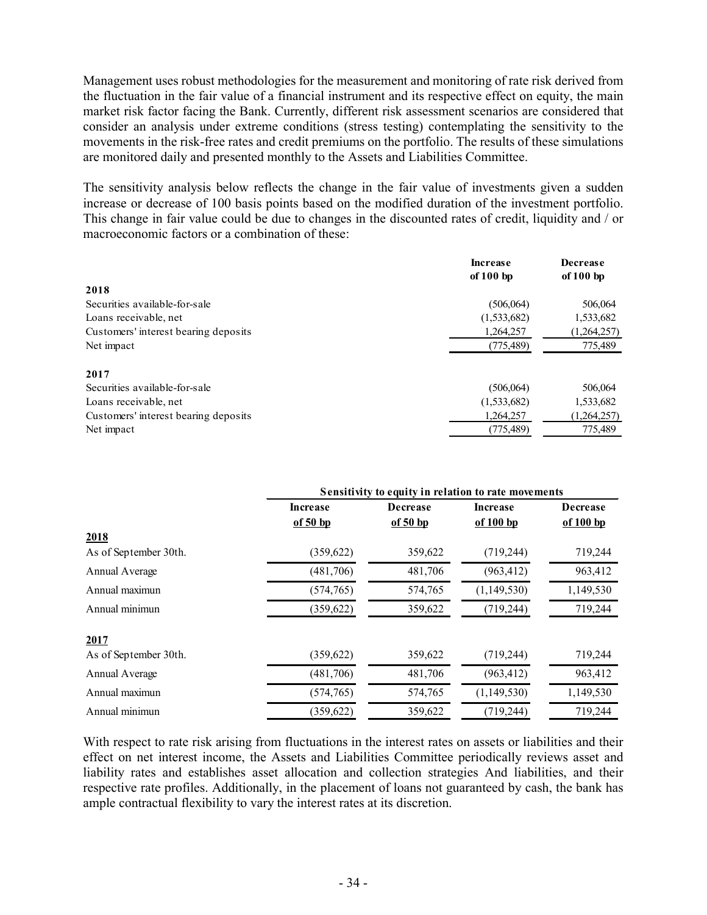Management uses robust methodologies for the measurement and monitoring of rate risk derived from the fluctuation in the fair value of a financial instrument and its respective effect on equity, the main market risk factor facing the Bank. Currently, different risk assessment scenarios are considered that consider an analysis under extreme conditions (stress testing) contemplating the sensitivity to the movements in the risk-free rates and credit premiums on the portfolio. The results of these simulations are monitored daily and presented monthly to the Assets and Liabilities Committee.

The sensitivity analysis below reflects the change in the fair value of investments given a sudden increase or decrease of 100 basis points based on the modified duration of the investment portfolio. This change in fair value could be due to changes in the discounted rates of credit, liquidity and / or macroeconomic factors or a combination of these:

|                                      | <b>Increase</b><br>of $100$ bp | <b>Decrease</b><br>of $100$ bp |
|--------------------------------------|--------------------------------|--------------------------------|
| 2018                                 |                                |                                |
| Securities available-for-sale        | (506, 064)                     | 506,064                        |
| Loans receivable, net                | (1,533,682)                    | 1,533,682                      |
| Customers' interest bearing deposits | 1,264,257                      | (1,264,257)                    |
| Net impact                           | (775, 489)                     | 775,489                        |
| 2017                                 |                                |                                |
| Securities available-for-sale        | (506, 064)                     | 506,064                        |
| Loans receivable, net                | (1,533,682)                    | 1,533,682                      |
| Customers' interest bearing deposits | 1,264,257                      | (1,264,257)                    |
| Net impact                           | (775, 489)                     | 775,489                        |

|                       | Sensitivity to equity in relation to rate movements |                 |             |                 |  |  |  |  |  |
|-----------------------|-----------------------------------------------------|-----------------|-------------|-----------------|--|--|--|--|--|
|                       | <b>Increase</b>                                     | <b>Decrease</b> | Increase    | <b>Decrease</b> |  |  |  |  |  |
|                       | of $50$ bp                                          | of $50$ bp      | of 100 bp   | of 100 bp       |  |  |  |  |  |
| 2018                  |                                                     |                 |             |                 |  |  |  |  |  |
| As of September 30th. | (359, 622)                                          | 359,622         | (719, 244)  | 719,244         |  |  |  |  |  |
| Annual Average        | (481,706)                                           | 481,706         | (963, 412)  | 963,412         |  |  |  |  |  |
| Annual maximun        | (574, 765)                                          | 574,765         | (1,149,530) | 1,149,530       |  |  |  |  |  |
| Annual minimun        | (359, 622)                                          | 359,622         | (719, 244)  | 719,244         |  |  |  |  |  |
| 2017                  |                                                     |                 |             |                 |  |  |  |  |  |
| As of September 30th. | (359, 622)                                          | 359,622         | (719, 244)  | 719,244         |  |  |  |  |  |
| Annual Average        | (481,706)                                           | 481,706         | (963, 412)  | 963,412         |  |  |  |  |  |
| Annual maximun        | (574, 765)                                          | 574,765         | (1,149,530) | 1,149,530       |  |  |  |  |  |
| Annual minimun        | (359, 622)                                          | 359,622         | (719, 244)  | 719,244         |  |  |  |  |  |

With respect to rate risk arising from fluctuations in the interest rates on assets or liabilities and their effect on net interest income, the Assets and Liabilities Committee periodically reviews asset and liability rates and establishes asset allocation and collection strategies And liabilities, and their respective rate profiles. Additionally, in the placement of loans not guaranteed by cash, the bank has ample contractual flexibility to vary the interest rates at its discretion.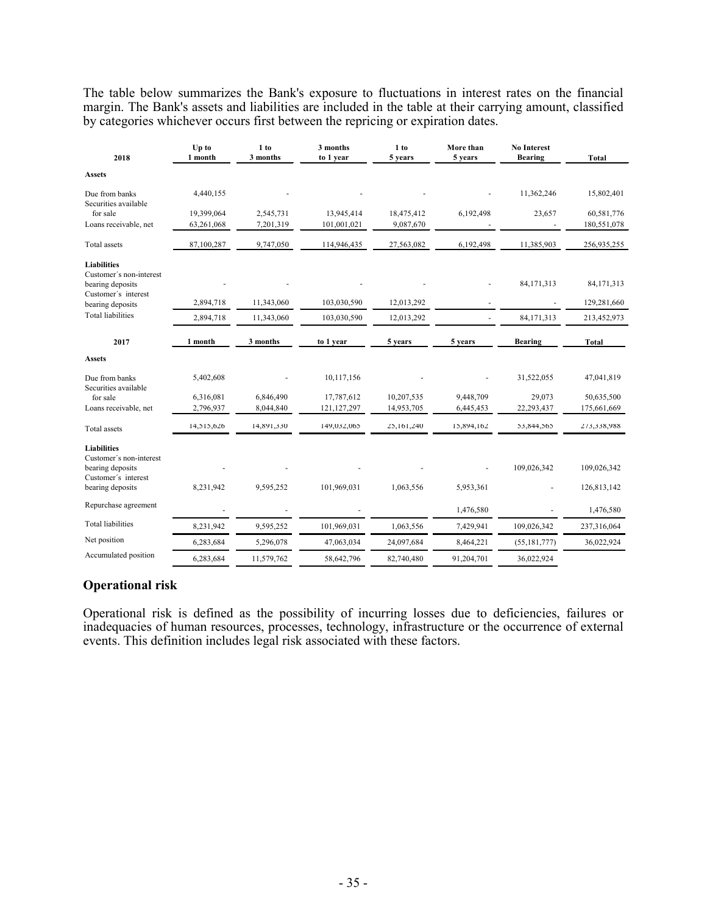The table below summarizes the Bank's exposure to fluctuations in interest rates on the financial margin. The Bank's assets and liabilities are included in the table at their carrying amount, classified by categories whichever occurs first between the repricing or expiration dates.

| 2018                                          | Up to<br>1 month | 1 to<br>3 months | 3 months<br>to 1 year | 1 to<br>5 years | More than<br>5 years | <b>No Interest</b><br><b>Bearing</b> | <b>Total</b> |
|-----------------------------------------------|------------------|------------------|-----------------------|-----------------|----------------------|--------------------------------------|--------------|
| <b>Assets</b>                                 |                  |                  |                       |                 |                      |                                      |              |
| Due from banks<br>Securities available        | 4,440,155        |                  |                       |                 |                      | 11,362,246                           | 15,802,401   |
| for sale                                      | 19,399,064       | 2,545,731        | 13,945,414            | 18,475,412      | 6,192,498            | 23,657                               | 60,581,776   |
| Loans receivable, net                         | 63,261,068       | 7,201,319        | 101,001,021           | 9,087,670       |                      |                                      | 180,551,078  |
| Total assets                                  | 87,100,287       | 9,747,050        | 114,946,435           | 27,563,082      | 6,192,498            | 11,385,903                           | 256,935,255  |
| <b>Liabilities</b><br>Customer's non-interest |                  |                  |                       |                 |                      |                                      |              |
| bearing deposits                              |                  |                  |                       |                 |                      | 84,171,313                           | 84,171,313   |
| Customer's interest<br>bearing deposits       | 2,894,718        | 11.343.060       | 103,030,590           | 12,013,292      |                      |                                      | 129,281,660  |
| <b>Total liabilities</b>                      | 2,894,718        | 11,343,060       | 103,030,590           | 12,013,292      |                      | 84, 171, 313                         | 213,452,973  |
| 2017                                          | 1 month          | 3 months         | to 1 year             | 5 years         | 5 years              | <b>Bearing</b>                       | <b>Total</b> |
| <b>Assets</b>                                 |                  |                  |                       |                 |                      |                                      |              |
| Due from banks<br>Securities available        | 5,402,608        |                  | 10,117,156            |                 |                      | 31,522,055                           | 47,041,819   |
| for sale                                      | 6,316,081        | 6,846,490        | 17,787,612            | 10,207,535      | 9,448,709            | 29,073                               | 50,635,500   |
| Loans receivable, net                         | 2,796,937        | 8,044,840        | 121, 127, 297         | 14,953,705      | 6,445,453            | 22,293,437                           | 175,661,669  |
| <b>Total</b> assets                           | 14,515,626       | 14,891,330       | 149,032,065           | 25,161,240      | 15,894,162           | 53,844,565                           | 273,338,988  |
| <b>Liabilities</b><br>Customer's non-interest |                  |                  |                       |                 |                      |                                      |              |
| bearing deposits                              |                  |                  |                       |                 |                      | 109,026,342                          | 109,026,342  |
| Customer's interest<br>bearing deposits       | 8,231,942        | 9,595,252        | 101,969,031           | 1,063,556       | 5,953,361            |                                      | 126,813,142  |
| Repurchase agreement                          |                  |                  |                       |                 | 1,476,580            |                                      | 1,476,580    |
| <b>Total liabilities</b>                      | 8,231,942        | 9,595,252        | 101,969,031           | 1,063,556       | 7,429,941            | 109,026,342                          | 237,316,064  |
| Net position                                  | 6,283,684        | 5,296,078        | 47,063,034            | 24,097,684      | 8,464,221            | (55, 181, 777)                       | 36,022,924   |
| Accumulated position                          | 6.283.684        | 11.579.762       | 58,642,796            | 82,740,480      | 91.204.701           | 36.022.924                           |              |

### **Operational risk**

Operational risk is defined as the possibility of incurring losses due to deficiencies, failures or inadequacies of human resources, processes, technology, infrastructure or the occurrence of external events. This definition includes legal risk associated with these factors.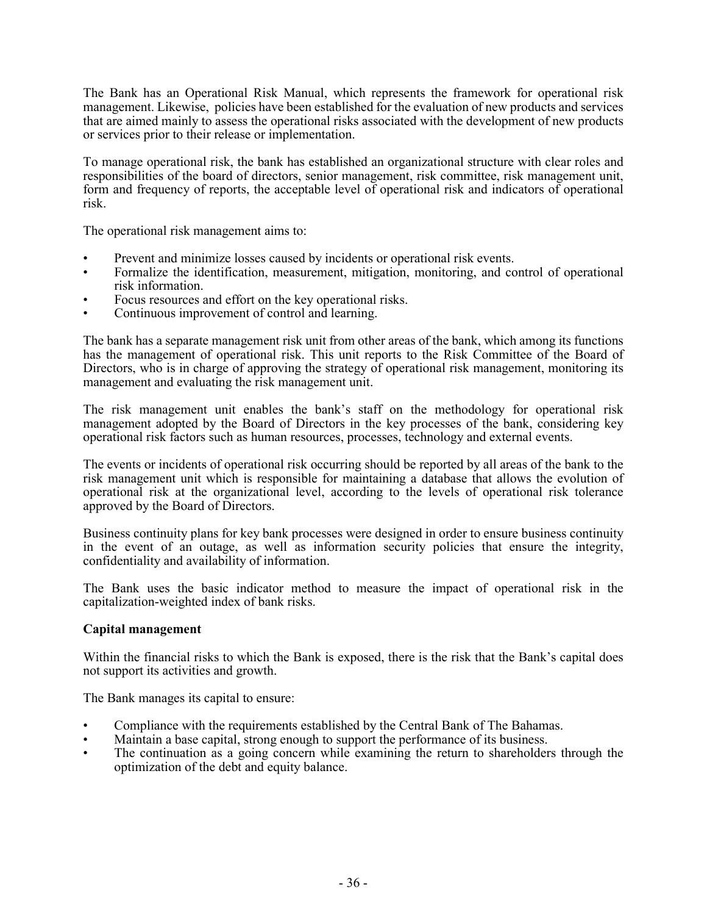The Bank has an Operational Risk Manual, which represents the framework for operational risk management. Likewise, policies have been established for the evaluation of new products and services that are aimed mainly to assess the operational risks associated with the development of new products or services prior to their release or implementation.

To manage operational risk, the bank has established an organizational structure with clear roles and responsibilities of the board of directors, senior management, risk committee, risk management unit, form and frequency of reports, the acceptable level of operational risk and indicators of operational risk.

The operational risk management aims to:

- Prevent and minimize losses caused by incidents or operational risk events.
- Formalize the identification, measurement, mitigation, monitoring, and control of operational risk information.
- Focus resources and effort on the key operational risks.
- Continuous improvement of control and learning.

The bank has a separate management risk unit from other areas of the bank, which among its functions has the management of operational risk. This unit reports to the Risk Committee of the Board of Directors, who is in charge of approving the strategy of operational risk management, monitoring its management and evaluating the risk management unit.

The risk management unit enables the bank's staff on the methodology for operational risk management adopted by the Board of Directors in the key processes of the bank, considering key operational risk factors such as human resources, processes, technology and external events.

The events or incidents of operational risk occurring should be reported by all areas of the bank to the risk management unit which is responsible for maintaining a database that allows the evolution of operational risk at the organizational level, according to the levels of operational risk tolerance approved by the Board of Directors.

Business continuity plans for key bank processes were designed in order to ensure business continuity in the event of an outage, as well as information security policies that ensure the integrity, confidentiality and availability of information.

The Bank uses the basic indicator method to measure the impact of operational risk in the capitalization-weighted index of bank risks.

#### **Capital management**

Within the financial risks to which the Bank is exposed, there is the risk that the Bank's capital does not support its activities and growth.

The Bank manages its capital to ensure:

- Compliance with the requirements established by the Central Bank of The Bahamas.
- Maintain a base capital, strong enough to support the performance of its business.
- The continuation as a going concern while examining the return to shareholders through the optimization of the debt and equity balance.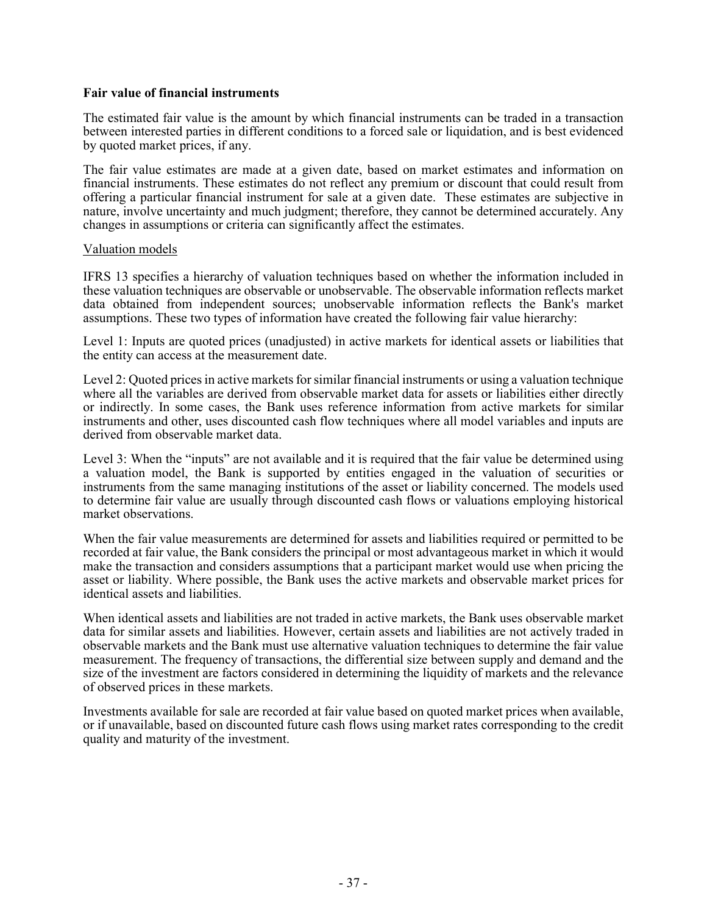#### **Fair value of financial instruments**

The estimated fair value is the amount by which financial instruments can be traded in a transaction between interested parties in different conditions to a forced sale or liquidation, and is best evidenced by quoted market prices, if any.

The fair value estimates are made at a given date, based on market estimates and information on financial instruments. These estimates do not reflect any premium or discount that could result from offering a particular financial instrument for sale at a given date. These estimates are subjective in nature, involve uncertainty and much judgment; therefore, they cannot be determined accurately. Any changes in assumptions or criteria can significantly affect the estimates.

#### Valuation models

IFRS 13 specifies a hierarchy of valuation techniques based on whether the information included in these valuation techniques are observable or unobservable. The observable information reflects market data obtained from independent sources; unobservable information reflects the Bank's market assumptions. These two types of information have created the following fair value hierarchy:

Level 1: Inputs are quoted prices (unadjusted) in active markets for identical assets or liabilities that the entity can access at the measurement date.

Level 2: Quoted prices in active markets for similar financial instruments or using a valuation technique where all the variables are derived from observable market data for assets or liabilities either directly or indirectly. In some cases, the Bank uses reference information from active markets for similar instruments and other, uses discounted cash flow techniques where all model variables and inputs are derived from observable market data.

Level 3: When the "inputs" are not available and it is required that the fair value be determined using a valuation model, the Bank is supported by entities engaged in the valuation of securities or instruments from the same managing institutions of the asset or liability concerned. The models used to determine fair value are usually through discounted cash flows or valuations employing historical market observations.

When the fair value measurements are determined for assets and liabilities required or permitted to be recorded at fair value, the Bank considers the principal or most advantageous market in which it would make the transaction and considers assumptions that a participant market would use when pricing the asset or liability. Where possible, the Bank uses the active markets and observable market prices for identical assets and liabilities.

When identical assets and liabilities are not traded in active markets, the Bank uses observable market data for similar assets and liabilities. However, certain assets and liabilities are not actively traded in observable markets and the Bank must use alternative valuation techniques to determine the fair value measurement. The frequency of transactions, the differential size between supply and demand and the size of the investment are factors considered in determining the liquidity of markets and the relevance of observed prices in these markets.

Investments available for sale are recorded at fair value based on quoted market prices when available, or if unavailable, based on discounted future cash flows using market rates corresponding to the credit quality and maturity of the investment.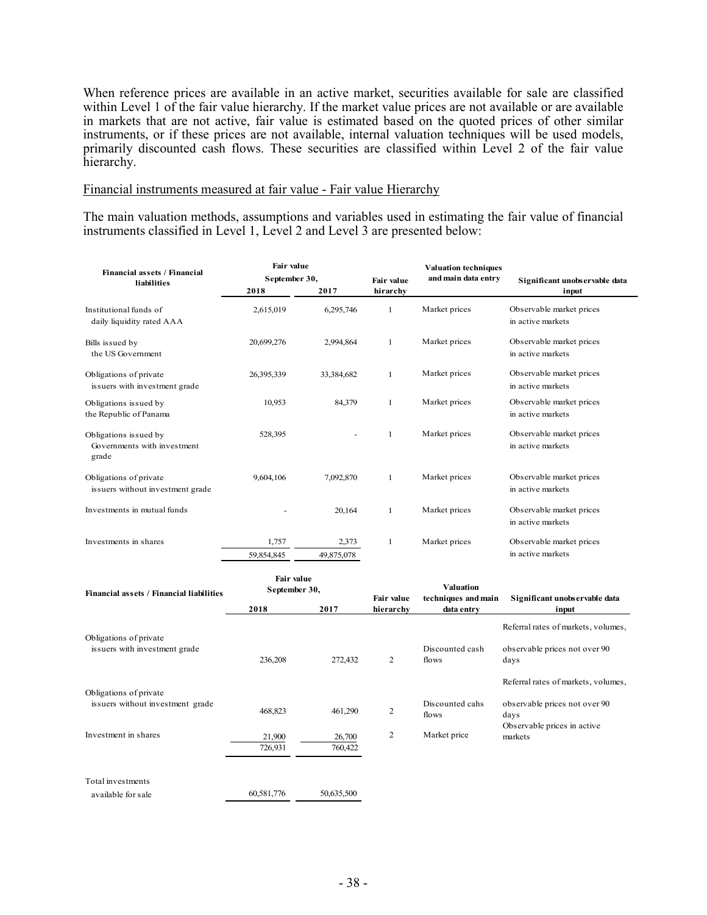When reference prices are available in an active market, securities available for sale are classified within Level 1 of the fair value hierarchy. If the market value prices are not available or are available in markets that are not active, fair value is estimated based on the quoted prices of other similar instruments, or if these prices are not available, internal valuation techniques will be used models, primarily discounted cash flows. These securities are classified within Level 2 of the fair value hierarchy.

#### Financial instruments measured at fair value - Fair value Hierarchy

The main valuation methods, assumptions and variables used in estimating the fair value of financial instruments classified in Level 1, Level 2 and Level 3 are presented below:

| Financial assets / Financial<br>liabilities                   | <b>Fair value</b><br>September 30, |            | Fair value   | <b>Valuation techniques</b><br>and main data entry | Significant unobservable data                 |  |
|---------------------------------------------------------------|------------------------------------|------------|--------------|----------------------------------------------------|-----------------------------------------------|--|
|                                                               | 2018                               | 2017       | hirarchy     |                                                    | input                                         |  |
| Institutional funds of<br>daily liquidity rated AAA           | 2,615,019                          | 6,295,746  | 1            | Market prices                                      | Observable market prices<br>in active markets |  |
| Bills issued by<br>the US Government                          | 20,699,276                         | 2,994,864  | $\mathbf{1}$ | Market prices                                      | Observable market prices<br>in active markets |  |
| Obligations of private<br>issuers with investment grade       | 26,395,339                         | 33,384,682 | $\mathbf{1}$ | Market prices                                      | Observable market prices<br>in active markets |  |
| Obligations issued by<br>the Republic of Panama               | 10,953                             | 84,379     | $\mathbf{1}$ | Market prices                                      | Observable market prices<br>in active markets |  |
| Obligations issued by<br>Governments with investment<br>grade | 528,395                            |            | 1            | Market prices                                      | Observable market prices<br>in active markets |  |
| Obligations of private<br>issuers without investment grade    | 9,604,106                          | 7,092,870  | 1            | Market prices                                      | Observable market prices<br>in active markets |  |
| Investments in mutual funds                                   |                                    | 20,164     | 1            | Market prices                                      | Observable market prices<br>in active markets |  |
| Investments in shares                                         | 1,757                              | 2,373      | 1            | Market prices                                      | Observable market prices                      |  |
|                                                               | 59,854,845                         | 49,875,078 |              |                                                    | in active markets                             |  |
|                                                               |                                    |            |              |                                                    |                                               |  |

| Financial assets / Financial liabilities | Fair value<br>September 30, |                   | Fair value | <b>Valuation</b><br>techniques and main | Significant unobservable data          |  |
|------------------------------------------|-----------------------------|-------------------|------------|-----------------------------------------|----------------------------------------|--|
|                                          | 2018                        | 2017              | hierarchy  | data entry                              | input                                  |  |
| Obligations of private                   |                             |                   |            |                                         | Referral rates of markets, volumes,    |  |
| issuers with investment grade            | 236,208                     | 272,432           | 2          | Discounted cash<br>flows                | observable prices not over 90<br>days  |  |
| Obligations of private                   |                             |                   |            |                                         | Referral rates of markets, volumes,    |  |
| issuers without investment grade         | 468,823                     | 461,290           | 2          | Discounted cahs<br>flows                | observable prices not over 90<br>days  |  |
| Investment in shares                     | 21,900<br>726,931           | 26,700<br>760,422 | 2          | Market price                            | Observable prices in active<br>markets |  |
| Total investments<br>available for sale  | 60,581,776                  | 50,635,500        |            |                                         |                                        |  |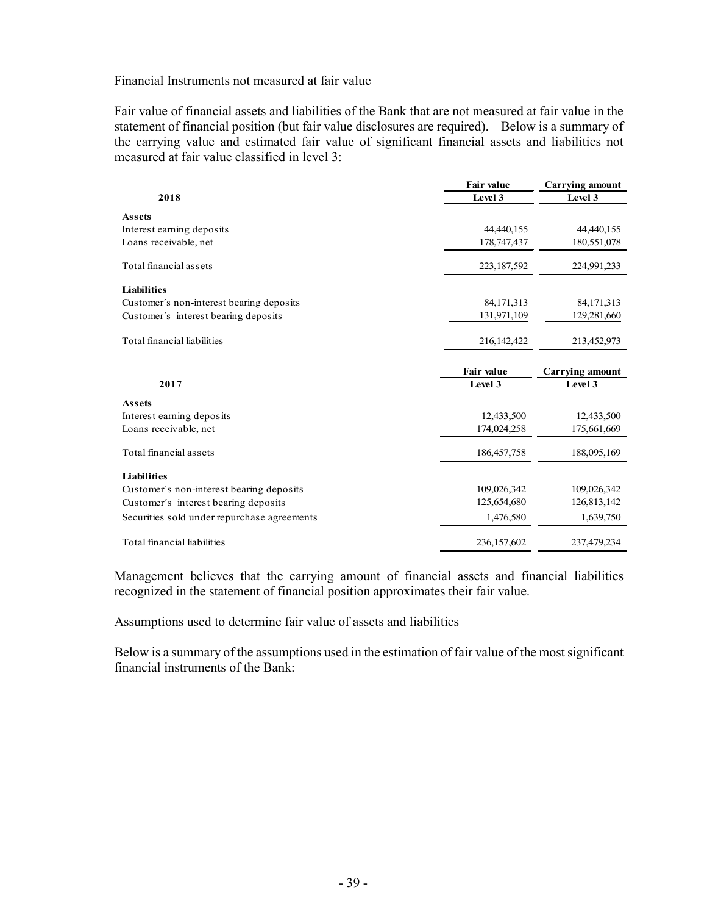### Financial Instruments not measured at fair value

Fair value of financial assets and liabilities of the Bank that are not measured at fair value in the statement of financial position (but fair value disclosures are required). Below is a summary of the carrying value and estimated fair value of significant financial assets and liabilities not measured at fair value classified in level 3:

|                                             | <b>Fair value</b> | <b>Carrying amount</b> |
|---------------------------------------------|-------------------|------------------------|
| 2018                                        | Level 3           | Level 3                |
| <b>Assets</b>                               |                   |                        |
| Interest earning deposits                   | 44,440,155        | 44,440,155             |
| Loans receivable, net                       | 178,747,437       | 180,551,078            |
| Total financial assets                      | 223,187,592       | 224,991,233            |
| <b>Liabilities</b>                          |                   |                        |
| Customer's non-interest bearing deposits    | 84, 171, 313      | 84,171,313             |
| Customer's interest bearing deposits        | 131,971,109       | 129,281,660            |
| Total financial liabilities                 | 216, 142, 422     | 213,452,973            |
|                                             |                   |                        |
|                                             | Fair value        | <b>Carrying amount</b> |
| 2017                                        | Level 3           | Level 3                |
| <b>Assets</b>                               |                   |                        |
| Interest earning deposits                   | 12,433,500        | 12,433,500             |
| Loans receivable, net                       | 174,024,258       | 175,661,669            |
| Total financial assets                      | 186, 457, 758     | 188,095,169            |
| <b>Liabilities</b>                          |                   |                        |
| Customer's non-interest bearing deposits    | 109,026,342       | 109,026,342            |
| Customer's interest bearing deposits        | 125,654,680       | 126,813,142            |
| Securities sold under repurchase agreements | 1,476,580         | 1,639,750              |

Management believes that the carrying amount of financial assets and financial liabilities recognized in the statement of financial position approximates their fair value.

Assumptions used to determine fair value of assets and liabilities

Below is a summary of the assumptions used in the estimation of fair value of the most significant financial instruments of the Bank: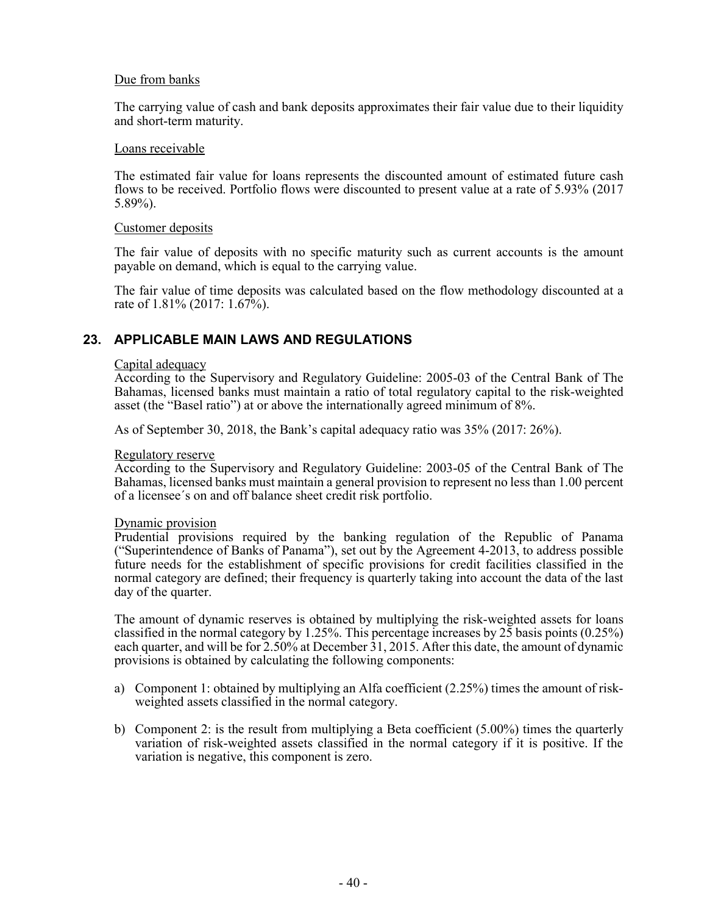#### Due from banks

The carrying value of cash and bank deposits approximates their fair value due to their liquidity and short-term maturity.

#### Loans receivable

The estimated fair value for loans represents the discounted amount of estimated future cash flows to be received. Portfolio flows were discounted to present value at a rate of 5.93% (2017 5.89%).

#### Customer deposits

The fair value of deposits with no specific maturity such as current accounts is the amount payable on demand, which is equal to the carrying value.

The fair value of time deposits was calculated based on the flow methodology discounted at a rate of 1.81% (2017: 1.67%).

### **23. APPLICABLE MAIN LAWS AND REGULATIONS**

#### Capital adequacy

According to the Supervisory and Regulatory Guideline: 2005-03 of the Central Bank of The Bahamas, licensed banks must maintain a ratio of total regulatory capital to the risk-weighted asset (the "Basel ratio") at or above the internationally agreed minimum of 8%.

As of September 30, 2018, the Bank's capital adequacy ratio was 35% (2017: 26%).

#### Regulatory reserve

According to the Supervisory and Regulatory Guideline: 2003-05 of the Central Bank of The Bahamas, licensed banks must maintain a general provision to represent no less than 1.00 percent of a licensee´s on and off balance sheet credit risk portfolio.

#### Dynamic provision

Prudential provisions required by the banking regulation of the Republic of Panama ("Superintendence of Banks of Panama"), set out by the Agreement 4-2013, to address possible future needs for the establishment of specific provisions for credit facilities classified in the normal category are defined; their frequency is quarterly taking into account the data of the last day of the quarter.

The amount of dynamic reserves is obtained by multiplying the risk-weighted assets for loans classified in the normal category by 1.25%. This percentage increases by 25 basis points (0.25%) each quarter, and will be for 2.50% at December 31, 2015. After this date, the amount of dynamic provisions is obtained by calculating the following components:

- a) Component 1: obtained by multiplying an Alfa coefficient (2.25%) times the amount of riskweighted assets classified in the normal category.
- b) Component 2: is the result from multiplying a Beta coefficient (5.00%) times the quarterly variation of risk-weighted assets classified in the normal category if it is positive. If the variation is negative, this component is zero.